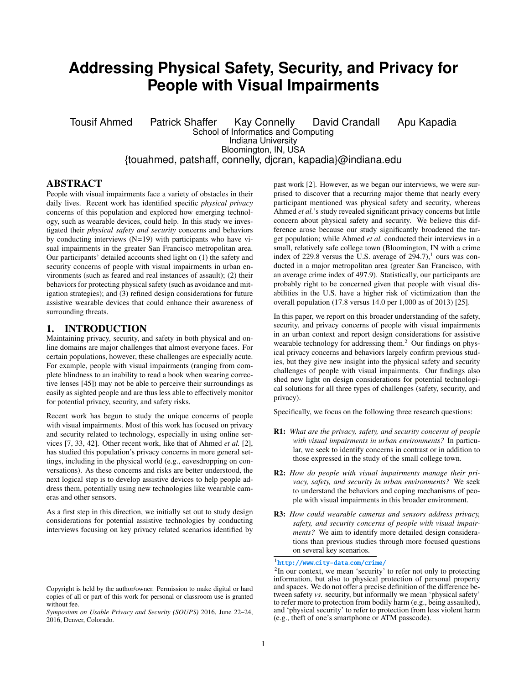# **Addressing Physical Safety, Security, and Privacy for People with Visual Impairments**

Tousif Ahmed Patrick Shaffer Kay Connelly David Crandall Apu Kapadia School of Informatics and Computing Indiana University Bloomington, IN, USA

{touahmed, patshaff, connelly, djcran, kapadia}@indiana.edu

## ABSTRACT

People with visual impairments face a variety of obstacles in their daily lives. Recent work has identified specific *physical privacy* concerns of this population and explored how emerging technology, such as wearable devices, could help. In this study we investigated their *physical safety and security* concerns and behaviors by conducting interviews  $(N=19)$  with participants who have visual impairments in the greater San Francisco metropolitan area. Our participants' detailed accounts shed light on (1) the safety and security concerns of people with visual impairments in urban environments (such as feared and real instances of assault); (2) their behaviors for protecting physical safety (such as avoidance and mitigation strategies); and (3) refined design considerations for future assistive wearable devices that could enhance their awareness of surrounding threats.

## 1. INTRODUCTION

Maintaining privacy, security, and safety in both physical and online domains are major challenges that almost everyone faces. For certain populations, however, these challenges are especially acute. For example, people with visual impairments (ranging from complete blindness to an inability to read a book when wearing corrective lenses [\[45\]](#page-13-0)) may not be able to perceive their surroundings as easily as sighted people and are thus less able to effectively monitor for potential privacy, security, and safety risks.

Recent work has begun to study the unique concerns of people with visual impairments. Most of this work has focused on privacy and security related to technology, especially in using online services [\[7,](#page-11-0) [33,](#page-13-1) [42\]](#page-13-2). Other recent work, like that of Ahmed *et al.* [\[2\]](#page-11-1), has studied this population's privacy concerns in more general settings, including in the physical world (e.g., eavesdropping on conversations). As these concerns and risks are better understood, the next logical step is to develop assistive devices to help people address them, potentially using new technologies like wearable cameras and other sensors.

As a first step in this direction, we initially set out to study design considerations for potential assistive technologies by conducting interviews focusing on key privacy related scenarios identified by past work [\[2\]](#page-11-1). However, as we began our interviews, we were surprised to discover that a recurring major theme that nearly every participant mentioned was physical safety and security, whereas Ahmed *et al.*'s study revealed significant privacy concerns but little concern about physical safety and security. We believe this difference arose because our study significantly broadened the target population; while Ahmed *et al.* conducted their interviews in a small, relatively safe college town (Bloomington, IN with a crime index of 229.8 versus the U.S. average of  $294.7$ ),<sup>[1](#page-0-0)</sup> ours was conducted in a major metropolitan area (greater San Francisco, with an average crime index of 497.9). Statistically, our participants are probably right to be concerned given that people with visual disabilities in the U.S. have a higher risk of victimization than the overall population (17.8 versus 14.0 per 1,000 as of 2013) [\[25\]](#page-12-0).

In this paper, we report on this broader understanding of the safety, security, and privacy concerns of people with visual impairments in an urban context and report design considerations for assistive wearable technology for addressing them.<sup>[2](#page-0-1)</sup> Our findings on physical privacy concerns and behaviors largely confirm previous studies, but they give new insight into the physical safety and security challenges of people with visual impairments. Our findings also shed new light on design considerations for potential technological solutions for all three types of challenges (safety, security, and privacy).

Specifically, we focus on the following three research questions:

- R1: *What are the privacy, safety, and security concerns of people with visual impairments in urban environments?* In particular, we seek to identify concerns in contrast or in addition to those expressed in the study of the small college town.
- R2: *How do people with visual impairments manage their privacy, safety, and security in urban environments?* We seek to understand the behaviors and coping mechanisms of people with visual impairments in this broader environment.
- R3: *How could wearable cameras and sensors address privacy, safety, and security concerns of people with visual impairments?* We aim to identify more detailed design considerations than previous studies through more focused questions on several key scenarios.

## <span id="page-0-0"></span><sup>1</sup>[http://www](http://www.city-data.com/crime/).city-data.com/crime/<br><sup>2</sup>In our context, we mean 'security'

Copyright is held by the author/owner. Permission to make digital or hard copies of all or part of this work for personal or classroom use is granted without fee.

*Symposium on Usable Privacy and Security (SOUPS)* 2016, June 22–24, 2016, Denver, Colorado.

<span id="page-0-1"></span><sup>&</sup>lt;sup>2</sup>In our context, we mean 'security' to refer not only to protecting information, but also to physical protection of personal property and spaces. We do not offer a precise definition of the difference between safety *vs.* security, but informally we mean 'physical safety' to refer more to protection from bodily harm (e.g., being assaulted), and 'physical security' to refer to protection from less violent harm (e.g., theft of one's smartphone or ATM passcode).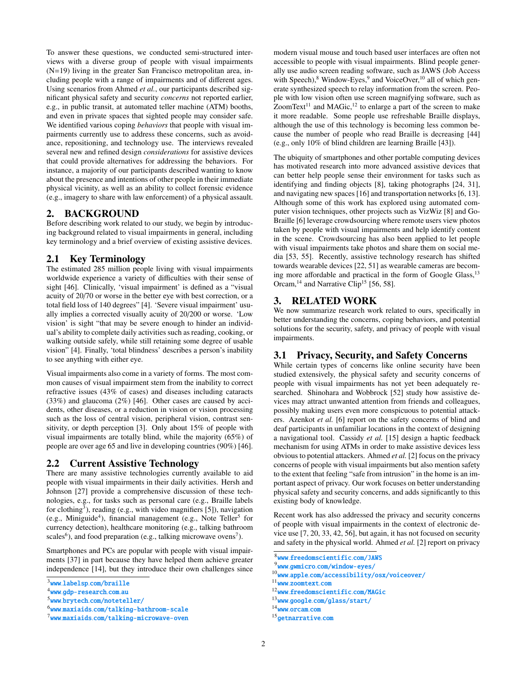To answer these questions, we conducted semi-structured interviews with a diverse group of people with visual impairments (N=19) living in the greater San Francisco metropolitan area, including people with a range of impairments and of different ages. Using scenarios from Ahmed *et al.*, our participants described significant physical safety and security *concerns* not reported earlier, e.g., in public transit, at automated teller machine (ATM) booths, and even in private spaces that sighted people may consider safe. We identified various coping *behaviors* that people with visual impairments currently use to address these concerns, such as avoidance, repositioning, and technology use. The interviews revealed several new and refined design *considerations* for assistive devices that could provide alternatives for addressing the behaviors. For instance, a majority of our participants described wanting to know about the presence and intentions of other people in their immediate physical vicinity, as well as an ability to collect forensic evidence (e.g., imagery to share with law enforcement) of a physical assault.

## 2. BACKGROUND

Before describing work related to our study, we begin by introducing background related to visual impairments in general, including key terminology and a brief overview of existing assistive devices.

## 2.1 Key Terminology

The estimated 285 million people living with visual impairments worldwide experience a variety of difficulties with their sense of sight [\[46\]](#page-13-3). Clinically, 'visual impairment' is defined as a "visual acuity of 20/70 or worse in the better eye with best correction, or a total field loss of 140 degrees" [\[4\]](#page-11-2). 'Severe visual impairment' usually implies a corrected visually acuity of 20/200 or worse. 'Low vision' is sight "that may be severe enough to hinder an individual's ability to complete daily activities such as reading, cooking, or walking outside safely, while still retaining some degree of usable vision" [\[4\]](#page-11-2). Finally, 'total blindness' describes a person's inability to see anything with either eye.

Visual impairments also come in a variety of forms. The most common causes of visual impairment stem from the inability to correct refractive issues (43% of cases) and diseases including cataracts (33%) and glaucoma (2%) [\[46\]](#page-13-3). Other cases are caused by accidents, other diseases, or a reduction in vision or vision processing such as the loss of central vision, peripheral vision, contrast sensitivity, or depth perception [\[3\]](#page-11-3). Only about 15% of people with visual impairments are totally blind, while the majority (65%) of people are over age 65 and live in developing countries (90%) [\[46\]](#page-13-3).

## 2.2 Current Assistive Technology

There are many assistive technologies currently available to aid people with visual impairments in their daily activities. Hersh and Johnson [\[27\]](#page-12-1) provide a comprehensive discussion of these technologies, e.g., for tasks such as personal care (e.g., Braille labels for clothing<sup>[3](#page-1-0)</sup>), reading (e.g., with video magnifiers [\[5\]](#page-11-4)), navigation (e.g., Miniguide<sup>[4](#page-1-1)</sup>), financial management (e.g., Note Teller<sup>[5](#page-1-2)</sup> for currency detection), healthcare monitoring (e.g., talking bathroom scales<sup>[6](#page-1-3)</sup>), and food preparation (e.g., talking microwave ovens<sup>[7](#page-1-4)</sup>).

Smartphones and PCs are popular with people with visual impairments [\[37\]](#page-13-4) in part because they have helped them achieve greater independence [\[14\]](#page-12-2), but they introduce their own challenges since modern visual mouse and touch based user interfaces are often not accessible to people with visual impairments. Blind people generally use audio screen reading software, such as JAWS (Job Access with Speech),<sup>[8](#page-1-5)</sup> Window-Eyes,<sup>[9](#page-1-6)</sup> and VoiceOver,<sup>[10](#page-1-7)</sup> all of which generate synthesized speech to relay information from the screen. People with low vision often use screen magnifying software, such as ZoomText<sup>[11](#page-1-8)</sup> and MAGic,<sup>[12](#page-1-9)</sup> to enlarge a part of the screen to make it more readable. Some people use refreshable Braille displays, although the use of this technology is becoming less common because the number of people who read Braille is decreasing [\[44\]](#page-13-5) (e.g., only 10% of blind children are learning Braille [\[43\]](#page-13-6)).

The ubiquity of smartphones and other portable computing devices has motivated research into more advanced assistive devices that can better help people sense their environment for tasks such as identifying and finding objects [\[8\]](#page-11-5), taking photographs [\[24,](#page-12-3) [31\]](#page-12-4), and navigating new spaces [\[16\]](#page-12-5) and transportation networks [\[6,](#page-11-6) [13\]](#page-12-6). Although some of this work has explored using automated computer vision techniques, other projects such as VizWiz [\[8\]](#page-11-5) and Go-Braille [\[6\]](#page-11-6) leverage crowdsourcing where remote users view photos taken by people with visual impairments and help identify content in the scene. Crowdsourcing has also been applied to let people with visual impairments take photos and share them on social media [\[53,](#page-13-7) [55\]](#page-13-8). Recently, assistive technology research has shifted towards wearable devices [\[22,](#page-12-7) [51\]](#page-13-9) as wearable cameras are becom-ing more affordable and practical in the form of Google Glass,<sup>[13](#page-1-10)</sup> Orcam,<sup>[14](#page-1-11)</sup> and Narrative Clip<sup>[15](#page-1-12)</sup> [\[56,](#page-13-10) [58\]](#page-14-0).

## 3. RELATED WORK

We now summarize research work related to ours, specifically in better understanding the concerns, coping behaviors, and potential solutions for the security, safety, and privacy of people with visual impairments.

## 3.1 Privacy, Security, and Safety Concerns

While certain types of concerns like online security have been studied extensively, the physical safety and security concerns of people with visual impairments has not yet been adequately researched. Shinohara and Wobbrock [\[52\]](#page-13-11) study how assistive devices may attract unwanted attention from friends and colleagues, possibly making users even more conspicuous to potential attackers. Azenkot *et al.* [\[6\]](#page-11-6) report on the safety concerns of blind and deaf participants in unfamiliar locations in the context of designing a navigational tool. Cassidy *et al.* [\[15\]](#page-12-8) design a haptic feedback mechanism for using ATMs in order to make assistive devices less obvious to potential attackers. Ahmed *et al.* [\[2\]](#page-11-1) focus on the privacy concerns of people with visual impairments but also mention safety to the extent that feeling "safe from intrusion" in the home is an important aspect of privacy. Our work focuses on better understanding physical safety and security concerns, and adds significantly to this existing body of knowledge.

Recent work has also addressed the privacy and security concerns of people with visual impairments in the context of electronic device use [\[7,](#page-11-0) [20,](#page-12-9) [33,](#page-13-1) [42,](#page-13-2) [56\]](#page-13-10), but again, it has not focused on security and safety in the physical world. Ahmed *et al.* [\[2\]](#page-11-1) report on privacy

<span id="page-1-0"></span> $\frac{3}{4}$ www.labelsp.[com/braille](www.labelsp.com/braille)

<span id="page-1-1"></span><sup>4</sup>www.adp-research.com.au

<span id="page-1-2"></span><sup>&</sup>lt;sup>4</sup>www.[gdp-research](www.gdp-research.com.au).com.au<br><sup>5</sup>www.brytech.[com/noteteller/](www.brytech.com/noteteller/)<br><sup>6</sup>www.maxiaids.com/talking-ba

<span id="page-1-3"></span><sup>&</sup>lt;sup>6</sup>www.maxiaids.[com/talking-bathroom-scale](www.maxiaids.com/talking-bathroom-scale)<br><sup>7</sup>www.maxiaids.com/talking-microwaye-oven

<span id="page-1-4"></span><sup>7</sup> www.maxiaids.[com/talking-microwave-oven](www.maxiaids.com/talking-microwave-oven)

<span id="page-1-5"></span> $\frac{8}{2}$ www.[freedomscientific](www.freedomscientific.com/JAWS).com/JAWS<br> $\frac{9}{2}$ www.gwmicro.com/window-eyes/

<span id="page-1-7"></span><span id="page-1-6"></span> $^{9}$ www.gwmicro.[com/window-eyes/](www.gwmicro.com/window-eyes/) $^{0}$ www.grmle.com/2ccessibility/

<sup>10</sup>www.apple.[com/accessibility/osx/voiceover/](www.apple.com/accessibility/osx/voiceover/)

<span id="page-1-8"></span><sup>11</sup>www.[zoomtext](www.zoomtext.com).com

<span id="page-1-9"></span><sup>12</sup>www.[freedomscientific](www.freedomscientific.com/MAGic).com/MAGic

<span id="page-1-10"></span><sup>13</sup>www.google.[com/glass/start/](www.google.com/glass/start/)

<span id="page-1-11"></span><sup>14</sup>www.[orcam](www.orcam.com).com

<span id="page-1-12"></span><sup>15</sup>[getnarrative](getnarrative.com).com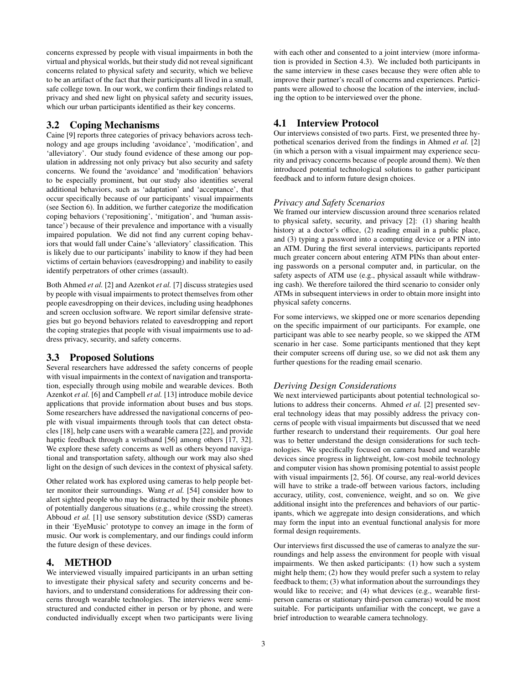concerns expressed by people with visual impairments in both the virtual and physical worlds, but their study did not reveal significant concerns related to physical safety and security, which we believe to be an artifact of the fact that their participants all lived in a small, safe college town. In our work, we confirm their findings related to privacy and shed new light on physical safety and security issues, which our urban participants identified as their key concerns.

## 3.2 Coping Mechanisms

Caine [\[9\]](#page-11-7) reports three categories of privacy behaviors across technology and age groups including 'avoidance', 'modification', and 'alleviatory'. Our study found evidence of these among our population in addressing not only privacy but also security and safety concerns. We found the 'avoidance' and 'modification' behaviors to be especially prominent, but our study also identifies several additional behaviors, such as 'adaptation' and 'acceptance', that occur specifically because of our participants' visual impairments (see Section [6\)](#page-5-0). In addition, we further categorize the modification coping behaviors ('repositioning', 'mitigation', and 'human assistance') because of their prevalence and importance with a visually impaired population. We did not find any current coping behaviors that would fall under Caine's 'alleviatory' classification. This is likely due to our participants' inability to know if they had been victims of certain behaviors (eavesdropping) and inability to easily identify perpetrators of other crimes (assault).

Both Ahmed *et al.* [\[2\]](#page-11-1) and Azenkot *et al.* [\[7\]](#page-11-0) discuss strategies used by people with visual impairments to protect themselves from other people eavesdropping on their devices, including using headphones and screen occlusion software. We report similar defensive strategies but go beyond behaviors related to eavesdropping and report the coping strategies that people with visual impairments use to address privacy, security, and safety concerns.

## 3.3 Proposed Solutions

Several researchers have addressed the safety concerns of people with visual impairments in the context of navigation and transportation, especially through using mobile and wearable devices. Both Azenkot *et al.* [\[6\]](#page-11-6) and Campbell *et al.* [\[13\]](#page-12-6) introduce mobile device applications that provide information about buses and bus stops. Some researchers have addressed the navigational concerns of people with visual impairments through tools that can detect obstacles [\[18\]](#page-12-10), help cane users with a wearable camera [\[22\]](#page-12-7), and provide haptic feedback through a wristband [\[56\]](#page-13-10) among others [\[17,](#page-12-11) [32\]](#page-13-12). We explore these safety concerns as well as others beyond navigational and transportation safety, although our work may also shed light on the design of such devices in the context of physical safety.

Other related work has explored using cameras to help people better monitor their surroundings. Wang *et al.* [\[54\]](#page-13-13) consider how to alert sighted people who may be distracted by their mobile phones of potentially dangerous situations (e.g., while crossing the street). Abboud *et al.* [\[1\]](#page-11-8) use sensory substitution device (SSD) cameras in their 'EyeMusic' prototype to convey an image in the form of music. Our work is complementary, and our findings could inform the future design of these devices.

## 4. METHOD

We interviewed visually impaired participants in an urban setting to investigate their physical safety and security concerns and behaviors, and to understand considerations for addressing their concerns through wearable technologies. The interviews were semistructured and conducted either in person or by phone, and were conducted individually except when two participants were living with each other and consented to a joint interview (more information is provided in Section [4.3\)](#page-3-0). We included both participants in the same interview in these cases because they were often able to improve their partner's recall of concerns and experiences. Participants were allowed to choose the location of the interview, including the option to be interviewed over the phone.

## 4.1 Interview Protocol

Our interviews consisted of two parts. First, we presented three hypothetical scenarios derived from the findings in Ahmed *et al.* [\[2\]](#page-11-1) (in which a person with a visual impairment may experience security and privacy concerns because of people around them). We then introduced potential technological solutions to gather participant feedback and to inform future design choices.

#### *Privacy and Safety Scenarios*

We framed our interview discussion around three scenarios related to physical safety, security, and privacy [\[2\]](#page-11-1): (1) sharing health history at a doctor's office, (2) reading email in a public place, and (3) typing a password into a computing device or a PIN into an ATM. During the first several interviews, participants reported much greater concern about entering ATM PINs than about entering passwords on a personal computer and, in particular, on the safety aspects of ATM use (e.g., physical assault while withdrawing cash). We therefore tailored the third scenario to consider only ATMs in subsequent interviews in order to obtain more insight into physical safety concerns.

For some interviews, we skipped one or more scenarios depending on the specific impairment of our participants. For example, one participant was able to see nearby people, so we skipped the ATM scenario in her case. Some participants mentioned that they kept their computer screens off during use, so we did not ask them any further questions for the reading email scenario.

## *Deriving Design Considerations*

We next interviewed participants about potential technological solutions to address their concerns. Ahmed *et al.* [\[2\]](#page-11-1) presented several technology ideas that may possibly address the privacy concerns of people with visual impairments but discussed that we need further research to understand their requirements. Our goal here was to better understand the design considerations for such technologies. We specifically focused on camera based and wearable devices since progress in lightweight, low-cost mobile technology and computer vision has shown promising potential to assist people with visual impairments [\[2,](#page-11-1) [56\]](#page-13-10). Of course, any real-world devices will have to strike a trade-off between various factors, including accuracy, utility, cost, convenience, weight, and so on. We give additional insight into the preferences and behaviors of our participants, which we aggregate into design considerations, and which may form the input into an eventual functional analysis for more formal design requirements.

Our interviews first discussed the use of cameras to analyze the surroundings and help assess the environment for people with visual impairments. We then asked participants: (1) how such a system might help them; (2) how they would prefer such a system to relay feedback to them; (3) what information about the surroundings they would like to receive; and (4) what devices (e.g., wearable firstperson cameras or stationary third-person cameras) would be most suitable. For participants unfamiliar with the concept, we gave a brief introduction to wearable camera technology.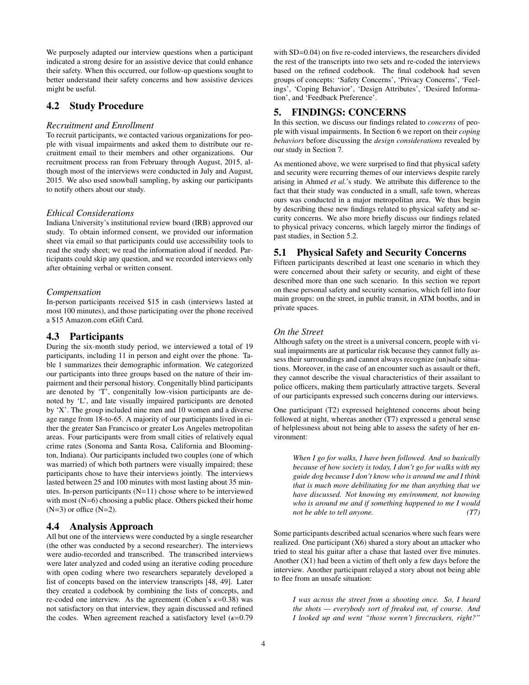We purposely adapted our interview questions when a participant indicated a strong desire for an assistive device that could enhance their safety. When this occurred, our follow-up questions sought to better understand their safety concerns and how assistive devices might be useful.

## 4.2 Study Procedure

#### *Recruitment and Enrollment*

To recruit participants, we contacted various organizations for people with visual impairments and asked them to distribute our recruitment email to their members and other organizations. Our recruitment process ran from February through August, 2015, although most of the interviews were conducted in July and August, 2015. We also used snowball sampling, by asking our participants to notify others about our study.

## *Ethical Considerations*

Indiana University's institutional review board (IRB) approved our study. To obtain informed consent, we provided our information sheet via email so that participants could use accessibility tools to read the study sheet; we read the information aloud if needed. Participants could skip any question, and we recorded interviews only after obtaining verbal or written consent.

#### *Compensation*

In-person participants received \$15 in cash (interviews lasted at most 100 minutes), and those participating over the phone received a \$15 Amazon.com eGift Card.

## <span id="page-3-0"></span>4.3 Participants

During the six-month study period, we interviewed a total of 19 participants, including 11 in person and eight over the phone. Table [1](#page-4-0) summarizes their demographic information. We categorized our participants into three groups based on the nature of their impairment and their personal history. Congenitally blind participants are denoted by 'T', congenitally low-vision participants are denoted by 'L', and late visually impaired participants are denoted by 'X'. The group included nine men and 10 women and a diverse age range from 18-to-65. A majority of our participants lived in either the greater San Francisco or greater Los Angeles metropolitan areas. Four participants were from small cities of relatively equal crime rates (Sonoma and Santa Rosa, California and Bloomington, Indiana). Our participants included two couples (one of which was married) of which both partners were visually impaired; these participants chose to have their interviews jointly. The interviews lasted between 25 and 100 minutes with most lasting about 35 minutes. In-person participants  $(N=11)$  chose where to be interviewed with most (N=6) choosing a public place. Others picked their home  $(N=3)$  or office  $(N=2)$ .

## 4.4 Analysis Approach

All but one of the interviews were conducted by a single researcher (the other was conducted by a second researcher). The interviews were audio-recorded and transcribed. The transcribed interviews were later analyzed and coded using an iterative coding procedure with open coding where two researchers separately developed a list of concepts based on the interview transcripts [\[48,](#page-13-14) [49\]](#page-13-15). Later they created a codebook by combining the lists of concepts, and re-coded one interview. As the agreement (Cohen's  $\kappa$ =0.38) was not satisfactory on that interview, they again discussed and refined the codes. When agreement reached a satisfactory level  $(\kappa=0.79)$  with SD=0.04) on five re-coded interviews, the researchers divided the rest of the transcripts into two sets and re-coded the interviews based on the refined codebook. The final codebook had seven groups of concepts: 'Safety Concerns', 'Privacy Concerns', 'Feelings', 'Coping Behavior', 'Design Attributes', 'Desired Information', and 'Feedback Preference'.

## 5. FINDINGS: CONCERNS

In this section, we discuss our findings related to *concerns* of people with visual impairments. In Section [6](#page-5-0) we report on their *coping behaviors* before discussing the *design considerations* revealed by our study in Section [7.](#page-7-0)

As mentioned above, we were surprised to find that physical safety and security were recurring themes of our interviews despite rarely arising in Ahmed *et al.*'s study. We attribute this difference to the fact that their study was conducted in a small, safe town, whereas ours was conducted in a major metropolitan area. We thus begin by describing these new findings related to physical safety and security concerns. We also more briefly discuss our findings related to physical privacy concerns, which largely mirror the findings of past studies, in Section [5.2.](#page-5-1)

## 5.1 Physical Safety and Security Concerns

Fifteen participants described at least one scenario in which they were concerned about their safety or security, and eight of these described more than one such scenario. In this section we report on these personal safety and security scenarios, which fell into four main groups: on the street, in public transit, in ATM booths, and in private spaces.

#### *On the Street*

Although safety on the street is a universal concern, people with visual impairments are at particular risk because they cannot fully assess their surroundings and cannot always recognize (un)safe situations. Moreover, in the case of an encounter such as assault or theft, they cannot describe the visual characteristics of their assailant to police officers, making them particularly attractive targets. Several of our participants expressed such concerns during our interviews.

One participant (T2) expressed heightened concerns about being followed at night, whereas another (T7) expressed a general sense of helplessness about not being able to assess the safety of her environment:

*When I go for walks, I have been followed. And so basically because of how society is today, I don't go for walks with my guide dog because I don't know who is around me and I think that is much more debilitating for me than anything that we have discussed. Not knowing my environment, not knowing who is around me and if something happened to me I would not be able to tell anyone. (T7)*

Some participants described actual scenarios where such fears were realized. One participant (X6) shared a story about an attacker who tried to steal his guitar after a chase that lasted over five minutes. Another (X1) had been a victim of theft only a few days before the interview. Another participant relayed a story about not being able to flee from an unsafe situation:

*I was across the street from a shooting once. So, I heard the shots — everybody sort of freaked out, of course. And I looked up and went "those weren't firecrackers, right?"*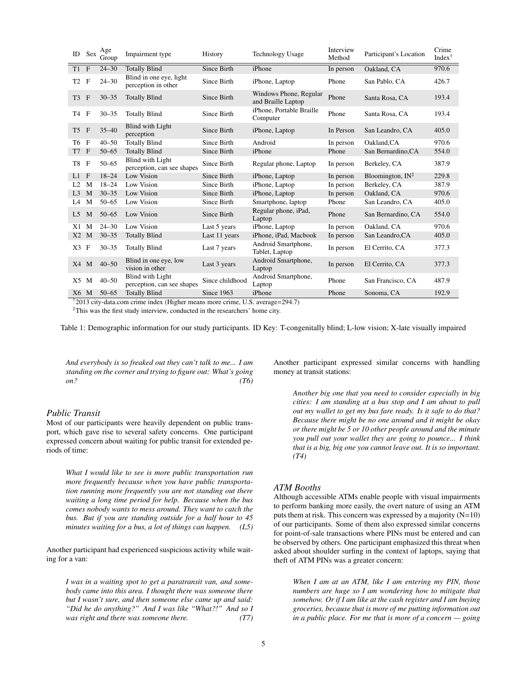<span id="page-4-0"></span>

| ID             | Sex          | Age<br>Group | Impairment type                                | History         | <b>Technology Usage</b>                      | Interview<br>Method | Participant's Location       | Crime<br>Index $\bar{ }$ |
|----------------|--------------|--------------|------------------------------------------------|-----------------|----------------------------------------------|---------------------|------------------------------|--------------------------|
| $T1$ F         |              | $24 - 30$    | <b>Totally Blind</b>                           | Since Birth     | iPhone                                       | In person           | Oakland, CA                  | 970.6                    |
| T2             | $\mathbf{F}$ | $24 - 30$    | Blind in one eye, light<br>perception in other | Since Birth     | iPhone, Laptop                               | Phone               | San Pablo, CA                | 426.7                    |
| T <sub>3</sub> | $\mathbf{F}$ | $30 - 35$    | <b>Totally Blind</b>                           | Since Birth     | Windows Phone, Regular<br>and Braille Laptop | Phone               | Santa Rosa, CA               | 193.4                    |
| T <sub>4</sub> | $\mathbf{F}$ | $30 - 35$    | <b>Totally Blind</b>                           | Since Birth     | iPhone, Portable Braille<br>Computer         | Phone               | Santa Rosa, CA               | 193.4                    |
| T5 F           |              | $35 - 40$    | Blind with Light<br>perception                 | Since Birth     | iPhone, Laptop                               | In Person           | San Leandro, CA              | 405.0                    |
| T6             | -F           | $40 - 50$    | <b>Totally Blind</b>                           | Since Birth     | Android                                      | In person           | Oakland, CA                  | 970.6                    |
| T7 F           |              | $50 - 65$    | <b>Totally Blind</b>                           | Since Birth     | iPhone                                       | Phone               | San Bernardino, CA           | 554.0                    |
| T8             | $\mathbf{F}$ | $50 - 65$    | Blind with Light<br>perception, can see shapes | Since Birth     | Regular phone, Laptop                        | In person           | Berkeley, CA                 | 387.9                    |
| L1             | $\mathbf{F}$ | $18 - 24$    | Low Vision                                     | Since Birth     | iPhone, Laptop                               | In person           | Bloomington, $IN^{\ddagger}$ | 229.8                    |
| L2             | M            | $18 - 24$    | Low Vision                                     | Since Birth     | iPhone, Laptop                               | In person           | Berkeley, CA                 | 387.9                    |
| L <sub>3</sub> | M            | $30 - 35$    | Low Vision                                     | Since Birth     | iPhone, Laptop                               | In person           | Oakland, CA                  | 970.6                    |
| L <sub>4</sub> | M            | $50 - 65$    | Low Vision                                     | Since Birth     | Smartphone, laptop                           | Phone               | San Leandro, CA              | 405.0                    |
| L5             | M            | $50 - 65$    | Low Vision                                     | Since Birth     | Regular phone, iPad,<br>Laptop               | Phone               | San Bernardino, CA           | 554.0                    |
| X1             | M            | $24 - 30$    | Low Vision                                     | Last 5 years    | iPhone, Laptop                               | In person           | Oakland, CA                  | 970.6                    |
| X2 M           |              | $30 - 35$    | <b>Totally Blind</b>                           | Last 11 years   | iPhone, iPad, Macbook                        | In person           | San Leandro, CA              | 405.0                    |
| X3 F           |              | $30 - 35$    | <b>Totally Blind</b>                           | Last 7 years    | Android Smartphone,<br>Tablet, Laptop        | In person           | El Cerrito, CA               | 377.3                    |
|                | X4 M         | $40 - 50$    | Blind in one eye, low<br>vision in other       | Last 3 years    | Android Smartphone,<br>Laptop                | In person           | El Cerrito, CA               | 377.3                    |
| X5             | M            | $40 - 50$    | Blind with Light<br>perception, can see shapes | Since childhood | Android Smartphone,<br>Laptop                | Phone               | San Francisco, CA            | 487.9                    |
| X6 M           |              | $50 - 65$    | <b>Totally Blind</b>                           | Since 1963      | iPhone                                       | Phone               | Sonoma, CA                   | 192.9                    |

†2013 city-data.com crime index (Higher means more crime, U.S. average=294.7)

‡This was the first study interview, conducted in the researchers' home city.

Table 1: Demographic information for our study participants. ID Key: T-congenitally blind; L-low vision; X-late visually impaired

*And everybody is so freaked out they can't talk to me... I am standing on the corner and trying to figure out: What's going on? (T6)*

#### *Public Transit*

Most of our participants were heavily dependent on public transport, which gave rise to several safety concerns. One participant expressed concern about waiting for public transit for extended periods of time:

*What I would like to see is more public transportation run more frequently because when you have public transportation running more frequently you are not standing out there waiting a long time period for help. Because when the bus comes nobody wants to mess around. They want to catch the bus. But if you are standing outside for a half hour to 45 minutes waiting for a bus, a lot of things can happen. (L5)*

Another participant had experienced suspicious activity while waiting for a van:

*I was in a waiting spot to get a paratransit van, and somebody came into this area. I thought there was someone there but I wasn't sure, and then someone else came up and said: "Did he do anything?" And I was like "What?!" And so I was right and there was someone there. (T7)* Another participant expressed similar concerns with handling money at transit stations:

*Another big one that you need to consider especially in big cities: I am standing at a bus stop and I am about to pull out my wallet to get my bus fare ready. Is it safe to do that? Because there might be no one around and it might be okay or there might be 5 or 10 other people around and the minute you pull out your wallet they are going to pounce... I think that is a big, big one you cannot leave out. It is so important. (T4)*

#### *ATM Booths*

Although accessible ATMs enable people with visual impairments to perform banking more easily, the overt nature of using an ATM puts them at risk. This concern was expressed by a majority  $(N=10)$ of our participants. Some of them also expressed similar concerns for point-of-sale transactions where PINs must be entered and can be observed by others. One participant emphasized this threat when asked about shoulder surfing in the context of laptops, saying that theft of ATM PINs was a greater concern:

*When I am at an ATM, like I am entering my PIN, those numbers are huge so I am wondering how to mitigate that somehow. Or if I am like at the cash register and I am buying groceries, because that is more of me putting information out in a public place. For me that is more of a concern — going*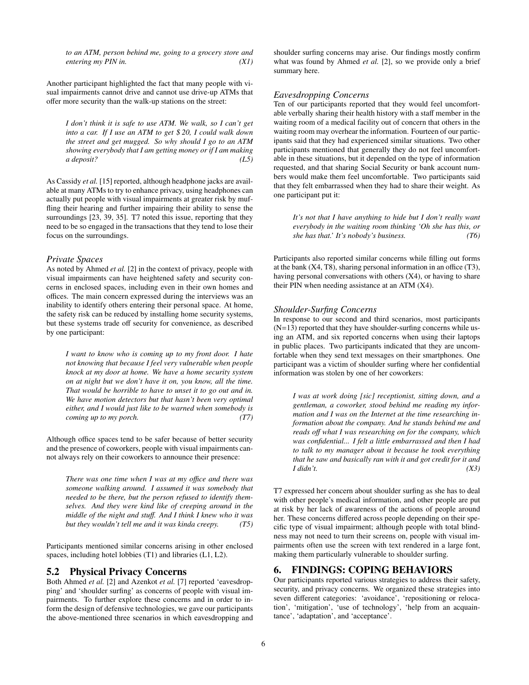*to an ATM, person behind me, going to a grocery store and entering my PIN in. (X1)*

Another participant highlighted the fact that many people with visual impairments cannot drive and cannot use drive-up ATMs that offer more security than the walk-up stations on the street:

*I don't think it is safe to use ATM. We walk, so I can't get into a car. If I use an ATM to get \$ 20, I could walk down the street and get mugged. So why should I go to an ATM showing everybody that I am getting money or if I am making a deposit? (L5)*

As Cassidy *et al.* [\[15\]](#page-12-8) reported, although headphone jacks are available at many ATMs to try to enhance privacy, using headphones can actually put people with visual impairments at greater risk by muffling their hearing and further impairing their ability to sense the surroundings [\[23,](#page-12-12) [39,](#page-13-16) [35\]](#page-13-17). T7 noted this issue, reporting that they need to be so engaged in the transactions that they tend to lose their focus on the surroundings.

#### *Private Spaces*

As noted by Ahmed *et al.* [\[2\]](#page-11-1) in the context of privacy, people with visual impairments can have heightened safety and security concerns in enclosed spaces, including even in their own homes and offices. The main concern expressed during the interviews was an inability to identify others entering their personal space. At home, the safety risk can be reduced by installing home security systems, but these systems trade off security for convenience, as described by one participant:

*I want to know who is coming up to my front door. I hate not knowing that because I feel very vulnerable when people knock at my door at home. We have a home security system on at night but we don't have it on, you know, all the time. That would be horrible to have to unset it to go out and in. We have motion detectors but that hasn't been very optimal either, and I would just like to be warned when somebody is coming up to my porch. (T7)*

Although office spaces tend to be safer because of better security and the presence of coworkers, people with visual impairments cannot always rely on their coworkers to announce their presence:

*There was one time when I was at my o*ffi*ce and there was someone walking around. I assumed it was somebody that needed to be there, but the person refused to identify themselves. And they were kind like of creeping around in the middle of the night and stu*ff*. And I think I knew who it was but they wouldn't tell me and it was kinda creepy. (T5)*

Participants mentioned similar concerns arising in other enclosed spaces, including hotel lobbies (T1) and libraries (L1, L2).

## <span id="page-5-1"></span>5.2 Physical Privacy Concerns

Both Ahmed *et al.* [\[2\]](#page-11-1) and Azenkot *et al.* [\[7\]](#page-11-0) reported 'eavesdropping' and 'shoulder surfing' as concerns of people with visual impairments. To further explore these concerns and in order to inform the design of defensive technologies, we gave our participants the above-mentioned three scenarios in which eavesdropping and shoulder surfing concerns may arise. Our findings mostly confirm what was found by Ahmed *et al.* [\[2\]](#page-11-1), so we provide only a brief summary here.

#### *Eavesdropping Concerns*

Ten of our participants reported that they would feel uncomfortable verbally sharing their health history with a staff member in the waiting room of a medical facility out of concern that others in the waiting room may overhear the information. Fourteen of our participants said that they had experienced similar situations. Two other participants mentioned that generally they do not feel uncomfortable in these situations, but it depended on the type of information requested, and that sharing Social Security or bank account numbers would make them feel uncomfortable. Two participants said that they felt embarrassed when they had to share their weight. As one participant put it:

*It's not that I have anything to hide but I don't really want everybody in the waiting room thinking 'Oh she has this, or she has that.' It's nobody's business. (T6)*

Participants also reported similar concerns while filling out forms at the bank (X4, T8), sharing personal information in an office (T3), having personal conversations with others (X4), or having to share their PIN when needing assistance at an ATM (X4).

#### *Shoulder-Surfing Concerns*

In response to our second and third scenarios, most participants (N=13) reported that they have shoulder-surfing concerns while using an ATM, and six reported concerns when using their laptops in public places. Two participants indicated that they are uncomfortable when they send text messages on their smartphones. One participant was a victim of shoulder surfing where her confidential information was stolen by one of her coworkers:

*I was at work doing [sic] receptionist, sitting down, and a gentleman, a coworker, stood behind me reading my information and I was on the Internet at the time researching information about the company. And he stands behind me and reads o*ff *what I was researching on for the company, which was confidential... I felt a little embarrassed and then I had to talk to my manager about it because he took everything that he saw and basically ran with it and got credit for it and I didn't. (X3)*

T7 expressed her concern about shoulder surfing as she has to deal with other people's medical information, and other people are put at risk by her lack of awareness of the actions of people around her. These concerns differed across people depending on their specific type of visual impairment; although people with total blindness may not need to turn their screens on, people with visual impairments often use the screen with text rendered in a large font, making them particularly vulnerable to shoulder surfing.

## <span id="page-5-0"></span>6. FINDINGS: COPING BEHAVIORS

Our participants reported various strategies to address their safety, security, and privacy concerns. We organized these strategies into seven different categories: 'avoidance', 'repositioning or relocation', 'mitigation', 'use of technology', 'help from an acquaintance', 'adaptation', and 'acceptance'.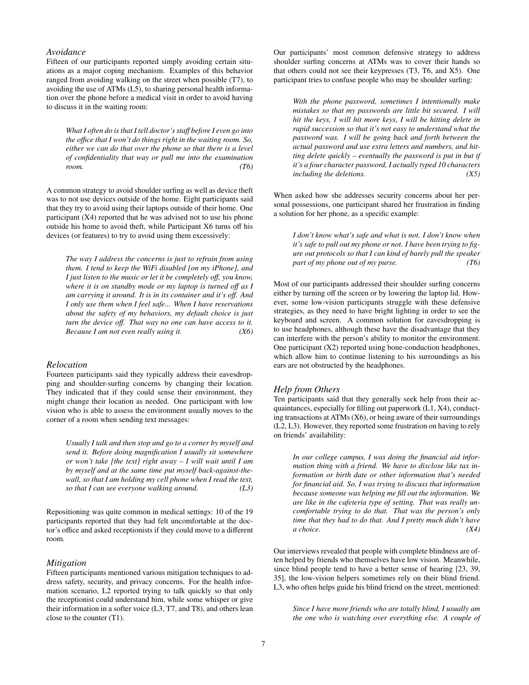#### *Avoidance*

Fifteen of our participants reported simply avoiding certain situations as a major coping mechanism. Examples of this behavior ranged from avoiding walking on the street when possible (T7), to avoiding the use of ATMs (L5), to sharing personal health information over the phone before a medical visit in order to avoid having to discuss it in the waiting room:

*What I often do is that I tell doctor's sta*ff *before I even go into the o*ffi*ce that I won't do things right in the waiting room. So, either we can do that over the phone so that there is a level of confidentiality that way or pull me into the examination room. (T6)*

A common strategy to avoid shoulder surfing as well as device theft was to not use devices outside of the home. Eight participants said that they try to avoid using their laptops outside of their home. One participant  $(X4)$  reported that he was advised not to use his phone outside his home to avoid theft, while Participant X6 turns off his devices (or features) to try to avoid using them excessively:

*The way I address the concerns is just to refrain from using them. I tend to keep the WiFi disabled [on my iPhone], and I just listen to the music or let it be completely o*ff*, you know, where it is on standby mode or my laptop is turned o*ff *as I am carrying it around. It is in its container and it's o*ff*. And I only use them when I feel safe... When I have reservations about the safety of my behaviors, my default choice is just turn the device o*ff*. That way no one can have access to it. Because I am not even really using it. (X6)*

#### *Relocation*

Fourteen participants said they typically address their eavesdropping and shoulder-surfing concerns by changing their location. They indicated that if they could sense their environment, they might change their location as needed. One participant with low vision who is able to assess the environment usually moves to the corner of a room when sending text messages:

*Usually I talk and then stop and go to a corner by myself and send it. Before doing magnification I usually sit somewhere or won't take [the text] right away – I will wait until I am by myself and at the same time put myself back-against-thewall, so that I am holding my cell phone when I read the text, so that I can see everyone walking around. (L3)*

Repositioning was quite common in medical settings: 10 of the 19 participants reported that they had felt uncomfortable at the doctor's office and asked receptionists if they could move to a different room.

#### *Mitigation*

Fifteen participants mentioned various mitigation techniques to address safety, security, and privacy concerns. For the health information scenario, L2 reported trying to talk quickly so that only the receptionist could understand him, while some whisper or give their information in a softer voice (L3, T7, and T8), and others lean close to the counter (T1).

Our participants' most common defensive strategy to address shoulder surfing concerns at ATMs was to cover their hands so that others could not see their keypresses (T3, T6, and X5). One participant tries to confuse people who may be shoulder surfing:

*With the phone password, sometimes I intentionally make mistakes so that my passwords are little bit secured. I will hit the keys, I will hit more keys, I will be hitting delete in rapid succession so that it's not easy to understand what the password was. I will be going back and forth between the actual password and use extra letters and numbers, and hitting delete quickly – eventually the password is put in but if it's a four character password, I actually typed 10 characters including the deletions. (X5)*

When asked how she addresses security concerns about her personal possessions, one participant shared her frustration in finding a solution for her phone, as a specific example:

*I don't know what's safe and what is not. I don't know when it's safe to pull out my phone or not. I have been trying to figure out protocols so that I can kind of barely pull the speaker part of my phone out of my purse. (T6)*

Most of our participants addressed their shoulder surfing concerns either by turning off the screen or by lowering the laptop lid. However, some low-vision participants struggle with these defensive strategies, as they need to have bright lighting in order to see the keyboard and screen. A common solution for eavesdropping is to use headphones, although these have the disadvantage that they can interfere with the person's ability to monitor the environment. One participant (X2) reported using bone-conduction headphones, which allow him to continue listening to his surroundings as his ears are not obstructed by the headphones.

#### *Help from Others*

Ten participants said that they generally seek help from their acquaintances, especially for filling out paperwork (L1, X4), conducting transactions at ATMs (X6), or being aware of their surroundings (L2, L3). However, they reported some frustration on having to rely on friends' availability:

*In our college campus, I was doing the financial aid information thing with a friend. We have to disclose like tax information or birth date or other information that's needed for financial aid. So, I was trying to discuss that information because someone was helping me fill out the information. We are like in the cafeteria type of setting. That was really uncomfortable trying to do that. That was the person's only time that they had to do that. And I pretty much didn't have a choice. (X4)*

Our interviews revealed that people with complete blindness are often helped by friends who themselves have low vision. Meanwhile, since blind people tend to have a better sense of hearing [\[23,](#page-12-12) [39,](#page-13-16) [35\]](#page-13-17), the low-vision helpers sometimes rely on their blind friend. L3, who often helps guide his blind friend on the street, mentioned:

*Since I have more friends who are totally blind, I usually am the one who is watching over everything else. A couple of*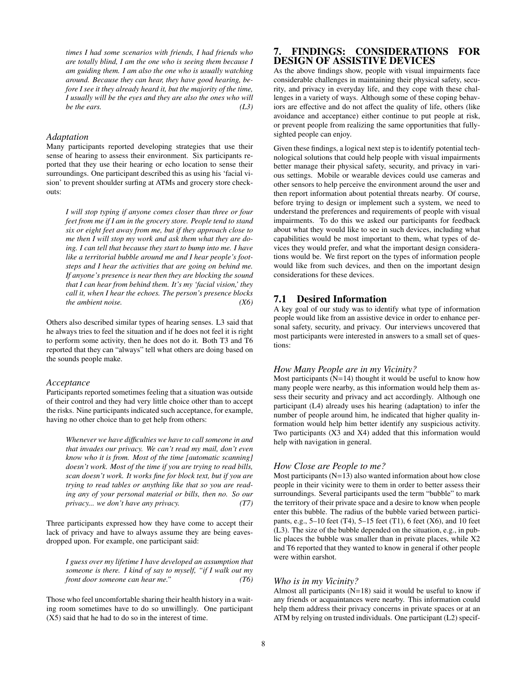*times I had some scenarios with friends, I had friends who are totally blind, I am the one who is seeing them because I am guiding them. I am also the one who is usually watching around. Because they can hear, they have good hearing, before I see it they already heard it, but the majority of the time, I usually will be the eyes and they are also the ones who will be the ears. (L3)*

#### *Adaptation*

Many participants reported developing strategies that use their sense of hearing to assess their environment. Six participants reported that they use their hearing or echo location to sense their surroundings. One participant described this as using his 'facial vision' to prevent shoulder surfing at ATMs and grocery store checkouts:

*I will stop typing if anyone comes closer than three or four feet from me if I am in the grocery store. People tend to stand six or eight feet away from me, but if they approach close to me then I will stop my work and ask them what they are doing. I can tell that because they start to bump into me. I have like a territorial bubble around me and I hear people's footsteps and I hear the activities that are going on behind me. If anyone's presence is near then they are blocking the sound that I can hear from behind them. It's my 'facial vision,' they call it, when I hear the echoes. The person's presence blocks the ambient noise. (X6)*

Others also described similar types of hearing senses. L3 said that he always tries to feel the situation and if he does not feel it is right to perform some activity, then he does not do it. Both T3 and T6 reported that they can "always" tell what others are doing based on the sounds people make.

#### *Acceptance*

Participants reported sometimes feeling that a situation was outside of their control and they had very little choice other than to accept the risks. Nine participants indicated such acceptance, for example, having no other choice than to get help from others:

*Whenever we have di*ffi*culties we have to call someone in and that invades our privacy. We can't read my mail, don't even know who it is from. Most of the time [automatic scanning] doesn't work. Most of the time if you are trying to read bills, scan doesn't work. It works fine for block text, but if you are trying to read tables or anything like that so you are reading any of your personal material or bills, then no. So our privacy... we don't have any privacy. (T7)*

Three participants expressed how they have come to accept their lack of privacy and have to always assume they are being eavesdropped upon. For example, one participant said:

*I guess over my lifetime I have developed an assumption that someone is there. I kind of say to myself, "if I walk out my front door someone can hear me." (T6)*

Those who feel uncomfortable sharing their health history in a waiting room sometimes have to do so unwillingly. One participant (X5) said that he had to do so in the interest of time.

## <span id="page-7-0"></span>7. FINDINGS: CONSIDERATIONS FOR DESIGN OF ASSISTIVE DEVICES

As the above findings show, people with visual impairments face considerable challenges in maintaining their physical safety, security, and privacy in everyday life, and they cope with these challenges in a variety of ways. Although some of these coping behaviors are effective and do not affect the quality of life, others (like avoidance and acceptance) either continue to put people at risk, or prevent people from realizing the same opportunities that fullysighted people can enjoy.

Given these findings, a logical next step is to identify potential technological solutions that could help people with visual impairments better manage their physical safety, security, and privacy in various settings. Mobile or wearable devices could use cameras and other sensors to help perceive the environment around the user and then report information about potential threats nearby. Of course, before trying to design or implement such a system, we need to understand the preferences and requirements of people with visual impairments. To do this we asked our participants for feedback about what they would like to see in such devices, including what capabilities would be most important to them, what types of devices they would prefer, and what the important design considerations would be. We first report on the types of information people would like from such devices, and then on the important design considerations for these devices.

#### 7.1 Desired Information

A key goal of our study was to identify what type of information people would like from an assistive device in order to enhance personal safety, security, and privacy. Our interviews uncovered that most participants were interested in answers to a small set of questions:

#### *How Many People are in my Vicinity?*

Most participants  $(N=14)$  thought it would be useful to know how many people were nearby, as this information would help them assess their security and privacy and act accordingly. Although one participant (L4) already uses his hearing (adaptation) to infer the number of people around him, he indicated that higher quality information would help him better identify any suspicious activity. Two participants (X3 and X4) added that this information would help with navigation in general.

#### *How Close are People to me?*

Most participants  $(N=13)$  also wanted information about how close people in their vicinity were to them in order to better assess their surroundings. Several participants used the term "bubble" to mark the territory of their private space and a desire to know when people enter this bubble. The radius of the bubble varied between participants, e.g., 5–10 feet (T4), 5–15 feet (T1), 6 feet (X6), and 10 feet (L3). The size of the bubble depended on the situation, e.g., in public places the bubble was smaller than in private places, while X2 and T6 reported that they wanted to know in general if other people were within earshot.

#### *Who is in my Vicinity?*

Almost all participants  $(N=18)$  said it would be useful to know if any friends or acquaintances were nearby. This information could help them address their privacy concerns in private spaces or at an ATM by relying on trusted individuals. One participant (L2) specif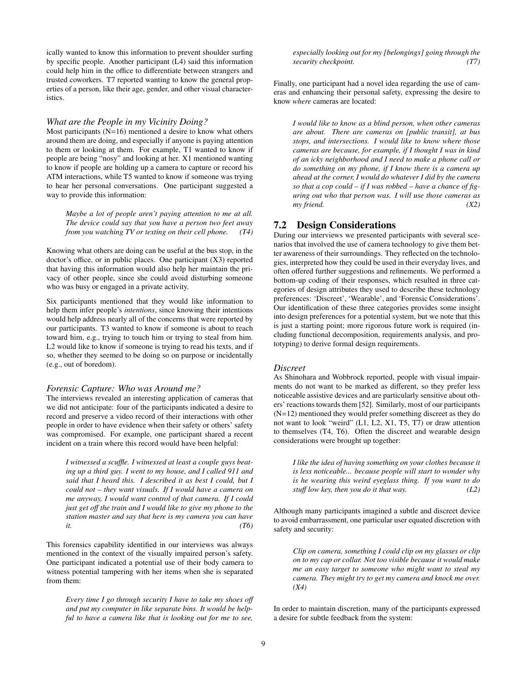ically wanted to know this information to prevent shoulder surfing by specific people. Another participant (L4) said this information could help him in the office to differentiate between strangers and trusted coworkers. T7 reported wanting to know the general properties of a person, like their age, gender, and other visual characteristics.

#### *What are the People in my Vicinity Doing?*

Most participants  $(N=16)$  mentioned a desire to know what others around them are doing, and especially if anyone is paying attention to them or looking at them. For example, T1 wanted to know if people are being "nosy" and looking at her. X1 mentioned wanting to know if people are holding up a camera to capture or record his ATM interactions, while T5 wanted to know if someone was trying to hear her personal conversations. One participant suggested a way to provide this information:

*Maybe a lot of people aren't paying attention to me at all. The device could say that you have a person two feet away from you watching TV or texting on their cell phone. (T4)*

Knowing what others are doing can be useful at the bus stop, in the doctor's office, or in public places. One participant (X3) reported that having this information would also help her maintain the privacy of other people, since she could avoid disturbing someone who was busy or engaged in a private activity.

Six participants mentioned that they would like information to help them infer people's *intentions*, since knowing their intentions would help address nearly all of the concerns that were reported by our participants. T3 wanted to know if someone is about to reach toward him, e.g., trying to touch him or trying to steal from him. L2 would like to know if someone is trying to read his texts, and if so, whether they seemed to be doing so on purpose or incidentally (e.g., out of boredom).

#### *Forensic Capture: Who was Around me?*

The interviews revealed an interesting application of cameras that we did not anticipate: four of the participants indicated a desire to record and preserve a video record of their interactions with other people in order to have evidence when their safety or others' safety was compromised. For example, one participant shared a recent incident on a train where this record would have been helpful:

*I witnessed a scu*ffl*e. I witnessed at least a couple guys beating up a third guy. I went to my house, and I called 911 and said that I heard this. I described it as best I could, but I could not – they want visuals. If I would have a camera on me anyway, I would want control of that camera. If I could just get o*ff *the train and I would like to give my phone to the station master and say that here is my camera you can have it. (T6)*

This forensics capability identified in our interviews was always mentioned in the context of the visually impaired person's safety. One participant indicated a potential use of their body camera to witness potential tampering with her items when she is separated from them:

*Every time I go through security I have to take my shoes o*ff *and put my computer in like separate bins. It would be helpful to have a camera like that is looking out for me to see,*

*especially looking out for my [belongings] going through the security checkpoint. (T7)*

Finally, one participant had a novel idea regarding the use of cameras and enhancing their personal safety, expressing the desire to know *where* cameras are located:

*I would like to know as a blind person, when other cameras are about. There are cameras on [public transit], at bus stops, and intersections. I would like to know where those cameras are because, for example, if I thought I was in kind of an icky neighborhood and I need to make a phone call or do something on my phone, if I know there is a camera up ahead at the corner, I would do whatever I did by the camera so that a cop could – if I was robbed – have a chance of figuring out who that person was. I will use those cameras as my friend. (X2)*

## 7.2 Design Considerations

During our interviews we presented participants with several scenarios that involved the use of camera technology to give them better awareness of their surroundings. They reflected on the technologies, interpreted how they could be used in their everyday lives, and often offered further suggestions and refinements. We performed a bottom-up coding of their responses, which resulted in three categories of design attributes they used to describe these technology preferences: 'Discreet', 'Wearable', and 'Forensic Considerations'. Our identification of these three categories provides some insight into design preferences for a potential system, but we note that this is just a starting point; more rigorous future work is required (including functional decomposition, requirements analysis, and prototyping) to derive formal design requirements.

#### *Discreet*

As Shinohara and Wobbrock reported, people with visual impairments do not want to be marked as different, so they prefer less noticeable assistive devices and are particularly sensitive about others' reactions towards them [\[52\]](#page-13-11). Similarly, most of our participants (N=12) mentioned they would prefer something discreet as they do not want to look "weird" (L1, L2, X1, T5, T7) or draw attention to themselves (T4, T6). Often the discreet and wearable design considerations were brought up together:

*I like the idea of having something on your clothes because it is less noticeable... because people will start to wonder why is he wearing this weird eyeglass thing. If you want to do stu*ff *low key, then you do it that way. (L2)*

Although many participants imagined a subtle and discreet device to avoid embarrassment, one particular user equated discretion with safety and security:

*Clip on camera, something I could clip on my glasses or clip on to my cap or collar. Not too visible because it would make me an easy target to someone who might want to steal my camera. They might try to get my camera and knock me over. (X4)*

In order to maintain discretion, many of the participants expressed a desire for subtle feedback from the system: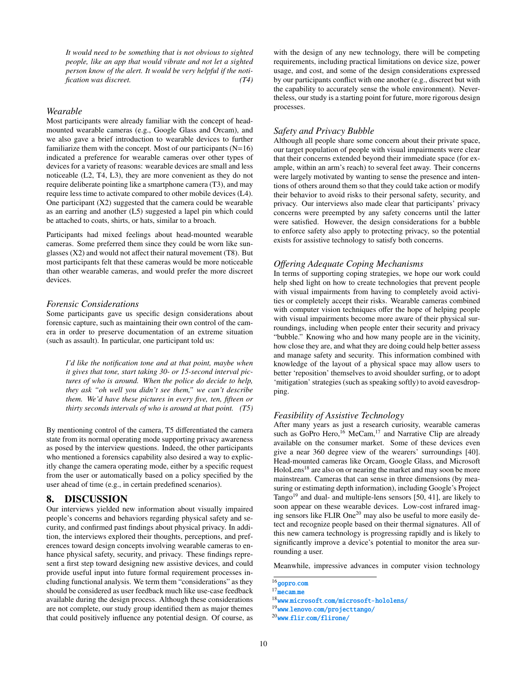*It would need to be something that is not obvious to sighted people, like an app that would vibrate and not let a sighted person know of the alert. It would be very helpful if the notification was discreet. (T4)*

#### *Wearable*

Most participants were already familiar with the concept of headmounted wearable cameras (e.g., Google Glass and Orcam), and we also gave a brief introduction to wearable devices to further familiarize them with the concept. Most of our participants  $(N=16)$ indicated a preference for wearable cameras over other types of devices for a variety of reasons: wearable devices are small and less noticeable (L2, T4, L3), they are more convenient as they do not require deliberate pointing like a smartphone camera (T3), and may require less time to activate compared to other mobile devices (L4). One participant (X2) suggested that the camera could be wearable as an earring and another (L5) suggested a lapel pin which could be attached to coats, shirts, or hats, similar to a broach.

Participants had mixed feelings about head-mounted wearable cameras. Some preferred them since they could be worn like sunglasses (X2) and would not affect their natural movement (T8). But most participants felt that these cameras would be more noticeable than other wearable cameras, and would prefer the more discreet devices.

## *Forensic Considerations*

Some participants gave us specific design considerations about forensic capture, such as maintaining their own control of the camera in order to preserve documentation of an extreme situation (such as assault). In particular, one participant told us:

*I'd like the notification tone and at that point, maybe when it gives that tone, start taking 30- or 15-second interval pictures of who is around. When the police do decide to help, they ask "oh well you didn't see them," we can't describe them. We'd have these pictures in every five, ten, fifteen or thirty seconds intervals of who is around at that point. (T5)*

By mentioning control of the camera, T5 differentiated the camera state from its normal operating mode supporting privacy awareness as posed by the interview questions. Indeed, the other participants who mentioned a forensics capability also desired a way to explicitly change the camera operating mode, either by a specific request from the user or automatically based on a policy specified by the user ahead of time (e.g., in certain predefined scenarios).

## 8. DISCUSSION

Our interviews yielded new information about visually impaired people's concerns and behaviors regarding physical safety and security, and confirmed past findings about physical privacy. In addition, the interviews explored their thoughts, perceptions, and preferences toward design concepts involving wearable cameras to enhance physical safety, security, and privacy. These findings represent a first step toward designing new assistive devices, and could provide useful input into future formal requirement processes including functional analysis. We term them "considerations" as they should be considered as user feedback much like use-case feedback available during the design process. Although these considerations are not complete, our study group identified them as major themes that could positively influence any potential design. Of course, as with the design of any new technology, there will be competing requirements, including practical limitations on device size, power usage, and cost, and some of the design considerations expressed by our participants conflict with one another (e.g., discreet but with the capability to accurately sense the whole environment). Nevertheless, our study is a starting point for future, more rigorous design processes.

#### *Safety and Privacy Bubble*

Although all people share some concern about their private space, our target population of people with visual impairments were clear that their concerns extended beyond their immediate space (for example, within an arm's reach) to several feet away. Their concerns were largely motivated by wanting to sense the presence and intentions of others around them so that they could take action or modify their behavior to avoid risks to their personal safety, security, and privacy. Our interviews also made clear that participants' privacy concerns were preempted by any safety concerns until the latter were satisfied. However, the design considerations for a bubble to enforce safety also apply to protecting privacy, so the potential exists for assistive technology to satisfy both concerns.

#### *Offering Adequate Coping Mechanisms*

In terms of supporting coping strategies, we hope our work could help shed light on how to create technologies that prevent people with visual impairments from having to completely avoid activities or completely accept their risks. Wearable cameras combined with computer vision techniques offer the hope of helping people with visual impairments become more aware of their physical surroundings, including when people enter their security and privacy "bubble." Knowing who and how many people are in the vicinity, how close they are, and what they are doing could help better assess and manage safety and security. This information combined with knowledge of the layout of a physical space may allow users to better 'reposition' themselves to avoid shoulder surfing, or to adopt 'mitigation' strategies (such as speaking softly) to avoid eavesdropping.

#### *Feasibility of Assistive Technology*

After many years as just a research curiosity, wearable cameras Such as GoPro Hero,<sup>[16](#page-9-0)</sup> MeCam,<sup>[17](#page-9-1)</sup> and Narrative Clip are already such as GoPro Hero,<sup>16</sup> MeCam,<sup>17</sup> and Narrative Clip are already available on the consumer market. Some of these devices even give a near 360 degree view of the wearers' surroundings [\[40\]](#page-13-18). Head-mounted cameras like Orcam, Google Glass, and Microsoft HoloLens<sup>[18](#page-9-2)</sup> are also on or nearing the market and may soon be more mainstream. Cameras that can sense in three dimensions (by measuring or estimating depth information), including Google's Project Tango<sup>[19](#page-9-3)</sup> and dual- and multiple-lens sensors [\[50,](#page-13-19) [41\]](#page-13-20), are likely to soon appear on these wearable devices. Low-cost infrared imag-ing sensors like FLIR One<sup>[20](#page-9-4)</sup> may also be useful to more easily detect and recognize people based on their thermal signatures. All of this new camera technology is progressing rapidly and is likely to significantly improve a device's potential to monitor the area surrounding a user.

Meanwhile, impressive advances in computer vision technology

<span id="page-9-0"></span><sup>16</sup>[gopro](gopro.com).com

<span id="page-9-1"></span> $17$ [mecam](mecam.me).me

<span id="page-9-2"></span><sup>18</sup>www.microsoft.[com/microsoft-hololens/](www.microsoft.com/microsoft-hololens/)

<span id="page-9-3"></span><sup>19</sup>www.lenovo.[com/projecttango/](www.lenovo.com/projecttango/)

<span id="page-9-4"></span><sup>20</sup>www.flir.[com/flirone/](www.flir.com/flirone/)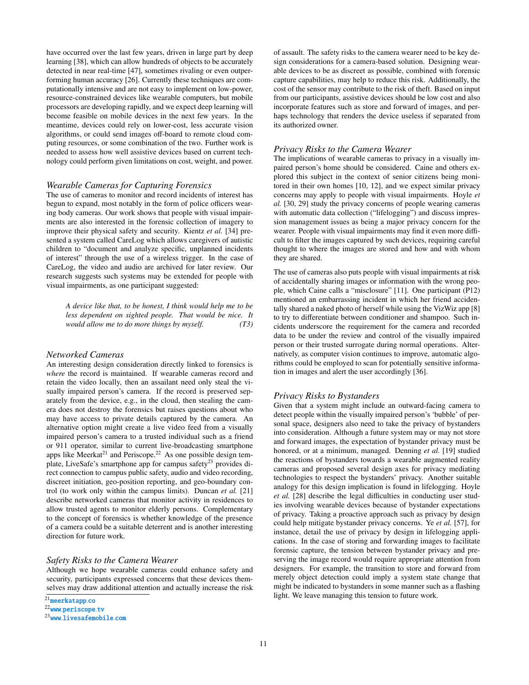have occurred over the last few years, driven in large part by deep learning [\[38\]](#page-13-21), which can allow hundreds of objects to be accurately detected in near real-time [\[47\]](#page-13-22), sometimes rivaling or even outperforming human accuracy [\[26\]](#page-12-13). Currently these techniques are computationally intensive and are not easy to implement on low-power, resource-constrained devices like wearable computers, but mobile processors are developing rapidly, and we expect deep learning will become feasible on mobile devices in the next few years. In the meantime, devices could rely on lower-cost, less accurate vision algorithms, or could send images off-board to remote cloud computing resources, or some combination of the two. Further work is needed to assess how well assistive devices based on current technology could perform given limitations on cost, weight, and power.

#### *Wearable Cameras for Capturing Forensics*

The use of cameras to monitor and record incidents of interest has begun to expand, most notably in the form of police officers wearing body cameras. Our work shows that people with visual impairments are also interested in the forensic collection of imagery to improve their physical safety and security. Kientz *et al.* [\[34\]](#page-13-23) presented a system called CareLog which allows caregivers of autistic children to "document and analyze specific, unplanned incidents of interest" through the use of a wireless trigger. In the case of CareLog, the video and audio are archived for later review. Our research suggests such systems may be extended for people with visual impairments, as one participant suggested:

*A device like that, to be honest, I think would help me to be less dependent on sighted people. That would be nice. It would allow me to do more things by myself. (T3)*

#### *Networked Cameras*

An interesting design consideration directly linked to forensics is *where* the record is maintained. If wearable cameras record and retain the video locally, then an assailant need only steal the visually impaired person's camera. If the record is preserved separately from the device, e.g., in the cloud, then stealing the camera does not destroy the forensics but raises questions about who may have access to private details captured by the camera. An alternative option might create a live video feed from a visually impaired person's camera to a trusted individual such as a friend or 911 operator, similar to current live-broadcasting smartphone apps like Meerkat<sup>[21](#page-10-0)</sup> and Periscope.<sup>[22](#page-10-1)</sup> As one possible design tem-plate, LiveSafe's smartphone app for campus safety<sup>[23](#page-10-2)</sup> provides direct connection to campus public safety, audio and video recording, discreet initiation, geo-position reporting, and geo-boundary control (to work only within the campus limits). Duncan *et al.* [\[21\]](#page-12-14) describe networked cameras that monitor activity in residences to allow trusted agents to monitor elderly persons. Complementary to the concept of forensics is whether knowledge of the presence of a camera could be a suitable deterrent and is another interesting direction for future work.

#### *Safety Risks to the Camera Wearer*

Although we hope wearable cameras could enhance safety and security, participants expressed concerns that these devices themselves may draw additional attention and actually increase the risk of assault. The safety risks to the camera wearer need to be key design considerations for a camera-based solution. Designing wearable devices to be as discreet as possible, combined with forensic capture capabilities, may help to reduce this risk. Additionally, the cost of the sensor may contribute to the risk of theft. Based on input from our participants, assistive devices should be low cost and also incorporate features such as store and forward of images, and perhaps technology that renders the device useless if separated from its authorized owner.

## *Privacy Risks to the Camera Wearer*

The implications of wearable cameras to privacy in a visually impaired person's home should be considered. Caine and others explored this subject in the context of senior citizens being monitored in their own homes [\[10,](#page-11-9) [12\]](#page-12-15), and we expect similar privacy concerns may apply to people with visual impairments. Hoyle *et al.* [\[30,](#page-12-16) [29\]](#page-12-17) study the privacy concerns of people wearing cameras with automatic data collection ("lifelogging") and discuss impression management issues as being a major privacy concern for the wearer. People with visual impairments may find it even more difficult to filter the images captured by such devices, requiring careful thought to where the images are stored and how and with whom they are shared.

The use of cameras also puts people with visual impairments at risk of accidentally sharing images or information with the wrong people, which Caine calls a "misclosure" [\[11\]](#page-12-18). One participant (P12) mentioned an embarrassing incident in which her friend accidentally shared a naked photo of herself while using the VizWiz app [\[8\]](#page-11-5) to try to differentiate between conditioner and shampoo. Such incidents underscore the requirement for the camera and recorded data to be under the review and control of the visually impaired person or their trusted surrogate during normal operations. Alternatively, as computer vision continues to improve, automatic algorithms could be employed to scan for potentially sensitive information in images and alert the user accordingly [\[36\]](#page-13-24).

## *Privacy Risks to Bystanders*

Given that a system might include an outward-facing camera to detect people within the visually impaired person's 'bubble' of personal space, designers also need to take the privacy of bystanders into consideration. Although a future system may or may not store and forward images, the expectation of bystander privacy must be honored, or at a minimum, managed. Denning *et al.* [\[19\]](#page-12-19) studied the reactions of bystanders towards a wearable augmented reality cameras and proposed several design axes for privacy mediating technologies to respect the bystanders' privacy. Another suitable analogy for this design implication is found in lifelogging. Hoyle *et al.* [\[28\]](#page-12-20) describe the legal difficulties in conducting user studies involving wearable devices because of bystander expectations of privacy. Taking a proactive approach such as privacy by design could help mitigate bystander privacy concerns. Ye *et al.* [\[57\]](#page-13-25), for instance, detail the use of privacy by design in lifelogging applications. In the case of storing and forwarding images to facilitate forensic capture, the tension between bystander privacy and preserving the image record would require appropriate attention from designers. For example, the transition to store and forward from merely object detection could imply a system state change that might be indicated to bystanders in some manner such as a flashing light. We leave managing this tension to future work.

<span id="page-10-0"></span><sup>21</sup>[meerkatapp](meerkatapp.co).co

<span id="page-10-1"></span><sup>22</sup>www.[periscope](www.periscope.tv).tv

<span id="page-10-2"></span><sup>23</sup>www.[livesafemobile](www.livesafemobile.com).com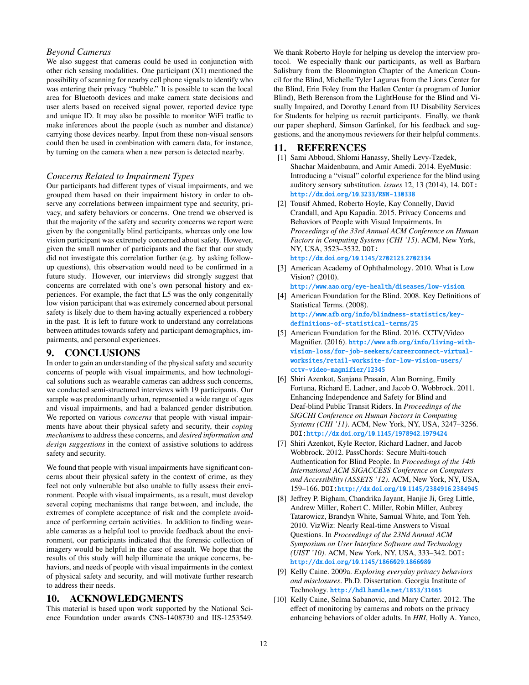#### *Beyond Cameras*

We also suggest that cameras could be used in conjunction with other rich sensing modalities. One participant (X1) mentioned the possibility of scanning for nearby cell phone signals to identify who was entering their privacy "bubble." It is possible to scan the local area for Bluetooth devices and make camera state decisions and user alerts based on received signal power, reported device type and unique ID. It may also be possible to monitor WiFi traffic to make inferences about the people (such as number and distance) carrying those devices nearby. Input from these non-visual sensors could then be used in combination with camera data, for instance, by turning on the camera when a new person is detected nearby.

#### *Concerns Related to Impairment Types*

Our participants had different types of visual impairments, and we grouped them based on their impairment history in order to observe any correlations between impairment type and security, privacy, and safety behaviors or concerns. One trend we observed is that the majority of the safety and security concerns we report were given by the congenitally blind participants, whereas only one low vision participant was extremely concerned about safety. However, given the small number of participants and the fact that our study did not investigate this correlation further (e.g. by asking followup questions), this observation would need to be confirmed in a future study. However, our interviews did strongly suggest that concerns are correlated with one's own personal history and experiences. For example, the fact that L5 was the only congenitally low vision participant that was extremely concerned about personal safety is likely due to them having actually experienced a robbery in the past. It is left to future work to understand any correlations between attitudes towards safety and participant demographics, impairments, and personal experiences.

## 9. CONCLUSIONS

In order to gain an understanding of the physical safety and security concerns of people with visual impairments, and how technological solutions such as wearable cameras can address such concerns, we conducted semi-structured interviews with 19 participants. Our sample was predominantly urban, represented a wide range of ages and visual impairments, and had a balanced gender distribution. We reported on various *concerns* that people with visual impairments have about their physical safety and security, their *coping mechanisms* to address these concerns, and *desired information and design suggestions* in the context of assistive solutions to address safety and security.

We found that people with visual impairments have significant concerns about their physical safety in the context of crime, as they feel not only vulnerable but also unable to fully assess their environment. People with visual impairments, as a result, must develop several coping mechanisms that range between, and include, the extremes of complete acceptance of risk and the complete avoidance of performing certain activities. In addition to finding wearable cameras as a helpful tool to provide feedback about the environment, our participants indicated that the forensic collection of imagery would be helpful in the case of assault. We hope that the results of this study will help illuminate the unique concerns, behaviors, and needs of people with visual impairments in the context of physical safety and security, and will motivate further research to address their needs.

## 10. ACKNOWLEDGMENTS

This material is based upon work supported by the National Science Foundation under awards CNS-1408730 and IIS-1253549. We thank Roberto Hoyle for helping us develop the interview protocol. We especially thank our participants, as well as Barbara Salisbury from the Bloomington Chapter of the American Council for the Blind, Michelle Tyler Lagunas from the Lions Center for the Blind, Erin Foley from the Hatlen Center (a program of Junior Blind), Beth Berenson from the LightHouse for the Blind and Visually Impaired, and Dorothy Lenard from IU Disability Services for Students for helping us recruit participants. Finally, we thank our paper shepherd, Simson Garfinkel, for his feedback and suggestions, and the anonymous reviewers for their helpful comments.

## 11. REFERENCES

- <span id="page-11-8"></span>[1] Sami Abboud, Shlomi Hanassy, Shelly Levy-Tzedek, Shachar Maidenbaum, and Amir Amedi. 2014. EyeMusic: Introducing a "visual" colorful experience for the blind using auditory sensory substitution. *issues* 12, 13 (2014), 14. DOI: http://dx.doi.org/10.[3233/RNN-130338](http://dx.doi.org/10.3233/RNN-130338)
- <span id="page-11-1"></span>[2] Tousif Ahmed, Roberto Hoyle, Kay Connelly, David Crandall, and Apu Kapadia. 2015. Privacy Concerns and Behaviors of People with Visual Impairments. In *Proceedings of the 33rd Annual ACM Conference on Human Factors in Computing Systems (CHI '15)*. ACM, New York, NY, USA, 3523–3532. DOI: http://dx.doi.org/10.[1145/2702123](http://dx.doi.org/10.1145/2702123.2702334).<sup>2702334</sup>
- <span id="page-11-3"></span>[3] American Academy of Ophthalmology. 2010. What is Low Vision? (2010).

http://www.aao.[org/eye-health/diseases/low-vision](http://www.aao.org/eye-health/diseases/low-vision)

- <span id="page-11-2"></span>[4] American Foundation for the Blind. 2008. Key Definitions of Statistical Terms. (2008). http://www.afb.[org/info/blindness-statistics/key](http://www.afb.org/info/blindness-statistics/key-definitions-of-statistical-terms/25)[definitions-of-statistical-terms/25](http://www.afb.org/info/blindness-statistics/key-definitions-of-statistical-terms/25)
- <span id="page-11-4"></span>[5] American Foundation for the Blind. 2016. CCTV/Video Magnifier. (2016). http://www.afb.[org/info/living-with](http://www.afb.org/info/living-with-vision-loss/for-job-seekers/careerconnect-virtual-worksites/retail-worksite-for-low-vision-users/cctv-video-magnifier/12345)[vision-loss/for-job-seekers/careerconnect-virtual](http://www.afb.org/info/living-with-vision-loss/for-job-seekers/careerconnect-virtual-worksites/retail-worksite-for-low-vision-users/cctv-video-magnifier/12345)[worksites/retail-worksite-for-low-vision-users/](http://www.afb.org/info/living-with-vision-loss/for-job-seekers/careerconnect-virtual-worksites/retail-worksite-for-low-vision-users/cctv-video-magnifier/12345) [cctv-video-magnifier/12345](http://www.afb.org/info/living-with-vision-loss/for-job-seekers/careerconnect-virtual-worksites/retail-worksite-for-low-vision-users/cctv-video-magnifier/12345)
- <span id="page-11-6"></span>[6] Shiri Azenkot, Sanjana Prasain, Alan Borning, Emily Fortuna, Richard E. Ladner, and Jacob O. Wobbrock. 2011. Enhancing Independence and Safety for Blind and Deaf-blind Public Transit Riders. In *Proceedings of the SIGCHI Conference on Human Factors in Computing Systems (CHI '11)*. ACM, New York, NY, USA, 3247–3256. DOI:http://dx.doi.org/10.[1145/1978942](http://dx.doi.org/10.1145/1978942.1979424).<sup>1979424</sup>
- <span id="page-11-0"></span>[7] Shiri Azenkot, Kyle Rector, Richard Ladner, and Jacob Wobbrock. 2012. PassChords: Secure Multi-touch Authentication for Blind People. In *Proceedings of the 14th International ACM SIGACCESS Conference on Computers and Accessibility (ASSETS '12)*. ACM, New York, NY, USA, 159–166. DOI:http://dx.doi.org/10.[1145/2384916](http://dx.doi.org/10.1145/2384916.2384945).<sup>2384945</sup>
- <span id="page-11-5"></span>[8] Jeffrey P. Bigham, Chandrika Jayant, Hanjie Ji, Greg Little, Andrew Miller, Robert C. Miller, Robin Miller, Aubrey Tatarowicz, Brandyn White, Samual White, and Tom Yeh. 2010. VizWiz: Nearly Real-time Answers to Visual Questions. In *Proceedings of the 23Nd Annual ACM Symposium on User Interface Software and Technology (UIST '10)*. ACM, New York, NY, USA, 333–342. DOI: http://dx.doi.org/10.[1145/1866029](http://dx.doi.org/10.1145/1866029.1866080).<sup>1866080</sup>
- <span id="page-11-7"></span>[9] Kelly Caine. 2009a. *Exploring everyday privacy behaviors and misclosures*. Ph.D. Dissertation. Georgia Institute of Technology. http://hdl.handle.[net/1853/31665](http://hdl.handle.net/1853/31665)
- <span id="page-11-9"></span>[10] Kelly Caine, Selma Sabanovic, and Mary Carter. 2012. The effect of monitoring by cameras and robots on the privacy enhancing behaviors of older adults. In *HRI*, Holly A. Yanco,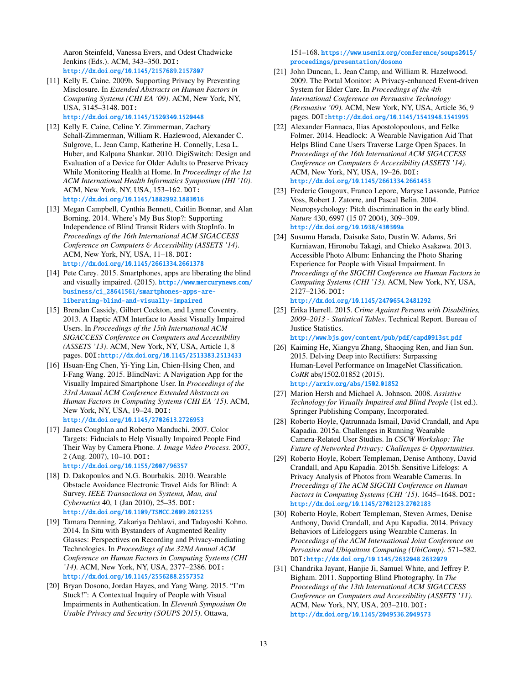Aaron Steinfeld, Vanessa Evers, and Odest Chadwicke Jenkins (Eds.). ACM, 343–350. DOI: http://dx.doi.org/10.[1145/2157689](http://dx.doi.org/10.1145/2157689.2157807).<sup>2157807</sup>

<span id="page-12-18"></span>[11] Kelly E. Caine. 2009b. Supporting Privacy by Preventing Misclosure. In *Extended Abstracts on Human Factors in Computing Systems (CHI EA '09)*. ACM, New York, NY, USA, 3145–3148. DOI:

http://dx.doi.org/10.[1145/1520340](http://dx.doi.org/10.1145/1520340.1520448).<sup>1520448</sup>

- <span id="page-12-15"></span>[12] Kelly E. Caine, Celine Y. Zimmerman, Zachary Schall-Zimmerman, William R. Hazlewood, Alexander C. Sulgrove, L. Jean Camp, Katherine H. Connelly, Lesa L. Huber, and Kalpana Shankar. 2010. DigiSwitch: Design and Evaluation of a Device for Older Adults to Preserve Privacy While Monitoring Health at Home. In *Proceedings of the 1st ACM International Health Informatics Symposium (IHI '10)*. ACM, New York, NY, USA, 153–162. DOI: http://dx.doi.org/10.[1145/1882992](http://dx.doi.org/10.1145/1882992.1883016).<sup>1883016</sup>
- <span id="page-12-6"></span>[13] Megan Campbell, Cynthia Bennett, Caitlin Bonnar, and Alan Borning. 2014. Where's My Bus Stop?: Supporting Independence of Blind Transit Riders with StopInfo. In *Proceedings of the 16th International ACM SIGACCESS Conference on Computers* & *Accessibility (ASSETS '14)*. ACM, New York, NY, USA, 11–18. DOI: http://dx.doi.org/10.[1145/2661334](http://dx.doi.org/10.1145/2661334.2661378).<sup>2661378</sup>
- <span id="page-12-2"></span>[14] Pete Carey. 2015. Smartphones, apps are liberating the blind and visually impaired. (2015). http://www.[mercurynews](http://www.mercurynews.com/business/ci_28641561/smartphones-apps-are-liberating-blind-and-visually-impaired).com/ [business/ci\\_28641561/smartphones-apps-are](http://www.mercurynews.com/business/ci_28641561/smartphones-apps-are-liberating-blind-and-visually-impaired)[liberating-blind-and-visually-impaired](http://www.mercurynews.com/business/ci_28641561/smartphones-apps-are-liberating-blind-and-visually-impaired)
- <span id="page-12-8"></span>[15] Brendan Cassidy, Gilbert Cockton, and Lynne Coventry. 2013. A Haptic ATM Interface to Assist Visually Impaired Users. In *Proceedings of the 15th International ACM SIGACCESS Conference on Computers and Accessibility (ASSETS '13)*. ACM, New York, NY, USA, Article 1, 8 pages. DOI:http://dx.doi.org/10.[1145/2513383](http://dx.doi.org/10.1145/2513383.2513433).<sup>2513433</sup>
- <span id="page-12-5"></span>[16] Hsuan-Eng Chen, Yi-Ying Lin, Chien-Hsing Chen, and I-Fang Wang. 2015. BlindNavi: A Navigation App for the Visually Impaired Smartphone User. In *Proceedings of the 33rd Annual ACM Conference Extended Abstracts on Human Factors in Computing Systems (CHI EA '15)*. ACM, New York, NY, USA, 19–24. DOI: http://dx.doi.org/10.[1145/2702613](http://dx.doi.org/10.1145/2702613.2726953).<sup>2726953</sup>
- <span id="page-12-11"></span>[17] James Coughlan and Roberto Manduchi. 2007. Color Targets: Fiducials to Help Visually Impaired People Find Their Way by Camera Phone. *J. Image Video Process.* 2007, 2 (Aug. 2007), 10–10. DOI: http://dx.doi.org/10.[1155/2007/96357](http://dx.doi.org/10.1155/2007/96357)
- <span id="page-12-10"></span>[18] D. Dakopoulos and N.G. Bourbakis. 2010. Wearable Obstacle Avoidance Electronic Travel Aids for Blind: A Survey. *IEEE Transactions on Systems, Man, and Cybernetics* 40, 1 (Jan 2010), 25–35. DOI: http://dx.doi.org/10.[1109/TSMCC](http://dx.doi.org/10.1109/TSMCC.2009.2021255).2009.<sup>2021255</sup>
- <span id="page-12-19"></span>[19] Tamara Denning, Zakariya Dehlawi, and Tadayoshi Kohno. 2014. In Situ with Bystanders of Augmented Reality Glasses: Perspectives on Recording and Privacy-mediating Technologies. In *Proceedings of the 32Nd Annual ACM Conference on Human Factors in Computing Systems (CHI '14)*. ACM, New York, NY, USA, 2377–2386. DOI: http://dx.doi.org/10.[1145/2556288](http://dx.doi.org/10.1145/2556288.2557352).<sup>2557352</sup>
- <span id="page-12-9"></span>[20] Bryan Dosono, Jordan Hayes, and Yang Wang. 2015. "I'm Stuck!": A Contextual Inquiry of People with Visual Impairments in Authentication. In *Eleventh Symposium On Usable Privacy and Security (SOUPS 2015)*. Ottawa,

151–168. https://www.usenix.[org/conference/soups2015/](https://www.usenix.org/conference/soups2015/proceedings/presentation/dosono) [proceedings/presentation/dosono](https://www.usenix.org/conference/soups2015/proceedings/presentation/dosono)

- <span id="page-12-14"></span>[21] John Duncan, L. Jean Camp, and William R. Hazelwood. 2009. The Portal Monitor: A Privacy-enhanced Event-driven System for Elder Care. In *Proceedings of the 4th International Conference on Persuasive Technology (Persuasive '09)*. ACM, New York, NY, USA, Article 36, 9 pages. DOI:http://dx.doi.org/10.[1145/1541948](http://dx.doi.org/10.1145/1541948.1541995).<sup>1541995</sup>
- <span id="page-12-7"></span>[22] Alexander Fiannaca, Ilias Apostolopoulous, and Eelke Folmer. 2014. Headlock: A Wearable Navigation Aid That Helps Blind Cane Users Traverse Large Open Spaces. In *Proceedings of the 16th International ACM SIGACCESS Conference on Computers* & *Accessibility (ASSETS '14)*. ACM, New York, NY, USA, 19–26. DOI: http://dx.doi.org/10.[1145/2661334](http://dx.doi.org/10.1145/2661334.2661453).<sup>2661453</sup>
- <span id="page-12-12"></span>[23] Frederic Gougoux, Franco Lepore, Maryse Lassonde, Patrice Voss, Robert J. Zatorre, and Pascal Belin. 2004. Neuropsychology: Pitch discrimination in the early blind. *Nature* 430, 6997 (15 07 2004), 309–309. http://dx.doi.org/10.[1038/430309a](http://dx.doi.org/10.1038/430309a)
- <span id="page-12-3"></span>[24] Susumu Harada, Daisuke Sato, Dustin W. Adams, Sri Kurniawan, Hironobu Takagi, and Chieko Asakawa. 2013. Accessible Photo Album: Enhancing the Photo Sharing Experience for People with Visual Impairment. In *Proceedings of the SIGCHI Conference on Human Factors in Computing Systems (CHI '13)*. ACM, New York, NY, USA, 2127–2136. DOI: http://dx.doi.org/10.[1145/2470654](http://dx.doi.org/10.1145/2470654.2481292).<sup>2481292</sup>
- <span id="page-12-0"></span>[25] Erika Harrell. 2015. *Crime Against Persons with Disabilities, 2009–2013 - Statistical Tables*. Technical Report. Bureau of Justice Statistics.

http://www.bjs.[gov/content/pub/pdf/capd0913st](http://www.bjs.gov/content/pub/pdf/capd0913st.pdf).pdf

- <span id="page-12-13"></span>[26] Kaiming He, Xiangyu Zhang, Shaoqing Ren, and Jian Sun. 2015. Delving Deep into Rectifiers: Surpassing Human-Level Performance on ImageNet Classification. *CoRR* abs/1502.01852 (2015). [http://arxiv](http://arxiv.org/abs/1502.01852).org/abs/1502.<sup>01852</sup>
- <span id="page-12-1"></span>[27] Marion Hersh and Michael A. Johnson. 2008. *Assistive Technology for Visually Impaired and Blind People* (1st ed.). Springer Publishing Company, Incorporated.
- <span id="page-12-20"></span>[28] Roberto Hoyle, Qatrunnada Ismail, David Crandall, and Apu Kapadia. 2015a. Challenges in Running Wearable Camera-Related User Studies. In *CSCW Workshop: The Future of Networked Privacy: Challenges* & *Opportunities*.
- <span id="page-12-17"></span>[29] Roberto Hoyle, Robert Templeman, Denise Anthony, David Crandall, and Apu Kapadia. 2015b. Sensitive Lifelogs: A Privacy Analysis of Photos from Wearable Cameras. In *Proceedings of The ACM SIGCHI Conference on Human Factors in Computing Systems (CHI '15)*. 1645–1648. DOI: http://dx.doi.org/10.[1145/2702123](http://dx.doi.org/10.1145/2702123.2702183).<sup>2702183</sup>
- <span id="page-12-16"></span>[30] Roberto Hoyle, Robert Templeman, Steven Armes, Denise Anthony, David Crandall, and Apu Kapadia. 2014. Privacy Behaviors of Lifeloggers using Wearable Cameras. In *Proceedings of the ACM International Joint Conference on Pervasive and Ubiquitous Computing (UbiComp)*. 571–582. DOI:http://dx.doi.org/10.[1145/2632048](http://dx.doi.org/10.1145/2632048.2632079).<sup>2632079</sup>
- <span id="page-12-4"></span>[31] Chandrika Jayant, Hanjie Ji, Samuel White, and Jeffrey P. Bigham. 2011. Supporting Blind Photography. In *The Proceedings of the 13th International ACM SIGACCESS Conference on Computers and Accessibility (ASSETS '11)*. ACM, New York, NY, USA, 203–210. DOI: http://dx.doi.org/10.[1145/2049536](http://dx.doi.org/10.1145/2049536.2049573).<sup>2049573</sup>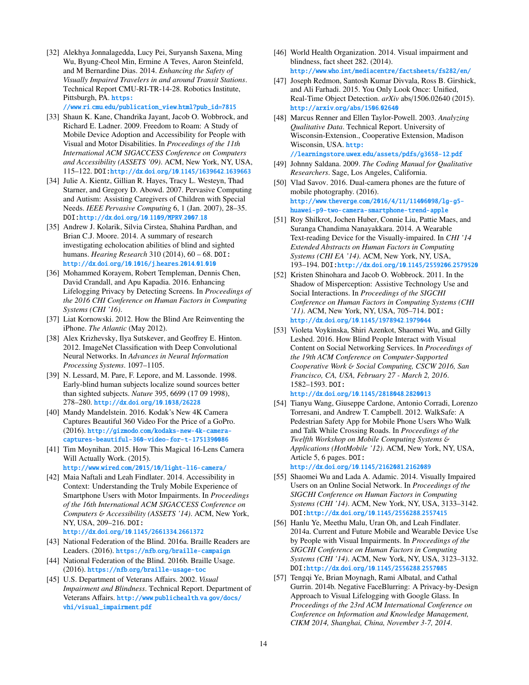<span id="page-13-12"></span>[32] Alekhya Jonnalagedda, Lucy Pei, Suryansh Saxena, Ming Wu, Byung-Cheol Min, Ermine A Teves, Aaron Steinfeld, and M Bernardine Dias. 2014. *Enhancing the Safety of Visually Impaired Travelers in and around Transit Stations*. Technical Report CMU-RI-TR-14-28. Robotics Institute, Pittsburgh, PA. [https:](https://www.ri.cmu.edu/publication_view.html?pub_id=7815)

#### //www.ri.cmu.[edu/publication\\_view](https://www.ri.cmu.edu/publication_view.html?pub_id=7815).html?pub\_id=7815

- <span id="page-13-1"></span>[33] Shaun K. Kane, Chandrika Javant, Jacob O. Wobbrock, and Richard E. Ladner. 2009. Freedom to Roam: A Study of Mobile Device Adoption and Accessibility for People with Visual and Motor Disabilities. In *Proceedings of the 11th International ACM SIGACCESS Conference on Computers and Accessibility (ASSETS '09)*. ACM, New York, NY, USA, 115–122. DOI:http://dx.doi.org/10.[1145/1639642](http://dx.doi.org/10.1145/1639642.1639663).<sup>1639663</sup>
- <span id="page-13-23"></span>[34] Julie A. Kientz, Gillian R. Hayes, Tracy L. Westeyn, Thad Starner, and Gregory D. Abowd. 2007. Pervasive Computing and Autism: Assisting Caregivers of Children with Special Needs. *IEEE Pervasive Computing* 6, 1 (Jan. 2007), 28–35. DOI:http://dx.doi.org/10.[1109/MPRV](http://dx.doi.org/10.1109/MPRV.2007.18).2007.<sup>18</sup>
- <span id="page-13-17"></span>[35] Andrew J. Kolarik, Silvia Cirstea, Shahina Pardhan, and Brian C.J. Moore. 2014. A summary of research investigating echolocation abilities of blind and sighted humans. *Hearing Research* 310 (2014), 60 – 68. DOI: [http://dx](http://dx.doi.org/10.1016/j.heares.2014.01.010).doi.org/10.1016/j.heares.2014.01.<sup>010</sup>
- <span id="page-13-24"></span>[36] Mohammed Korayem, Robert Templeman, Dennis Chen, David Crandall, and Apu Kapadia. 2016. Enhancing Lifelogging Privacy by Detecting Screens. In *Proceedings of the 2016 CHI Conference on Human Factors in Computing Systems (CHI '16)*.
- <span id="page-13-4"></span>[37] Liat Kornowski. 2012. How the Blind Are Reinventing the iPhone. *The Atlantic* (May 2012).
- <span id="page-13-21"></span>[38] Alex Krizhevsky, Ilya Sutskever, and Geoffrey E. Hinton. 2012. ImageNet Classification with Deep Convolutional Neural Networks. In *Advances in Neural Information Processing Systems*. 1097–1105.
- <span id="page-13-16"></span>[39] N. Lessard, M. Pare, F. Lepore, and M. Lassonde. 1998. Early-blind human subjects localize sound sources better than sighted subjects. *Nature* 395, 6699 (17 09 1998), 278–280. http://dx.doi.org/10.[1038/26228](http://dx.doi.org/10.1038/26228)
- <span id="page-13-18"></span>[40] Mandy Mandelstein. 2016. Kodak's New 4K Camera Captures Beautiful 360 Video For the Price of a GoPro. (2016). http://gizmodo.[com/kodaks-new-4k-camera](http://gizmodo.com/kodaks-new-4k-camera-captures-beautiful-360-video-for-t-1751390086)[captures-beautiful-360-video-for-t-1751390086](http://gizmodo.com/kodaks-new-4k-camera-captures-beautiful-360-video-for-t-1751390086)
- <span id="page-13-20"></span>[41] Tim Moynihan. 2015. How This Magical 16-Lens Camera Will Actually Work. (2015). http://www.wired.[com/2015/10/light-l16-camera/](http://www.wired.com/2015/10/light-l16-camera/)
- <span id="page-13-2"></span>[42] Maia Naftali and Leah Findlater. 2014. Accessibility in Context: Understanding the Truly Mobile Experience of Smartphone Users with Motor Impairments. In *Proceedings of the 16th International ACM SIGACCESS Conference on Computers* & *Accessibility (ASSETS '14)*. ACM, New York, NY, USA, 209–216. DOI:
	- http://dx.doi.org/10.[1145/2661334](http://dx.doi.org/10.1145/2661334.2661372).<sup>2661372</sup>
- <span id="page-13-6"></span>[43] National Federation of the Blind. 2016a. Braille Readers are Leaders. (2016). https://nfb.[org/braille-campaign](https://nfb.org/braille-campaign)
- <span id="page-13-5"></span>[44] National Federation of the Blind. 2016b. Braille Usage. (2016). https://nfb.[org/braille-usage-toc](https://nfb.org/braille-usage-toc)
- <span id="page-13-0"></span>[45] U.S. Department of Veterans Affairs. 2002. *Visual Impairment and Blindness*. Technical Report. Department of Veterans Affairs. http://www.[publichealth](http://www.publichealth.va.gov/docs/vhi/visual_impairment.pdf).va.gov/docs/ [vhi/visual\\_impairment](http://www.publichealth.va.gov/docs/vhi/visual_impairment.pdf).pdf
- <span id="page-13-3"></span>[46] World Health Organization. 2014. Visual impairment and blindness, fact sheet 282. (2014). http://www.who.[int/mediacentre/factsheets/fs282/en/](http://www.who.int/mediacentre/factsheets/fs282/en/)
- <span id="page-13-22"></span>[47] Joseph Redmon, Santosh Kumar Divvala, Ross B. Girshick, and Ali Farhadi. 2015. You Only Look Once: Unified, Real-Time Object Detection. *arXiv* abs/1506.02640 (2015). [http://arxiv](http://arxiv.org/abs/1506.02640).org/abs/1506.<sup>02640</sup>
- <span id="page-13-14"></span>[48] Marcus Renner and Ellen Taylor-Powell. 2003. *Analyzing Qualitative Data*. Technical Report. University of Wisconsin-Extension., Cooperative Extension, Madison Wisconsin, USA. [http:](http://learningstore.uwex.edu/assets/pdfs/g3658-12.pdf) //learningstore.uwex.[edu/assets/pdfs/g3658-12](http://learningstore.uwex.edu/assets/pdfs/g3658-12.pdf).pdf
- <span id="page-13-15"></span>[49] Johnny Saldana. 2009. *The Coding Manual for Qualitative Researchers*. Sage, Los Angeles, California.
- <span id="page-13-19"></span>[50] Vlad Savov. 2016. Dual-camera phones are the future of mobile photography. (2016). http://www.theverge.[com/2016/4/11/11406098/lg-g5](http://www.theverge.com/2016/4/11/11406098/lg-g5-huawei-p9-two-camera-smartphone-trend-apple) [huawei-p9-two-camera-smartphone-trend-apple](http://www.theverge.com/2016/4/11/11406098/lg-g5-huawei-p9-two-camera-smartphone-trend-apple)
- <span id="page-13-9"></span>[51] Roy Shilkrot, Jochen Huber, Connie Liu, Pattie Maes, and Suranga Chandima Nanayakkara. 2014. A Wearable Text-reading Device for the Visually-impaired. In *CHI '14 Extended Abstracts on Human Factors in Computing Systems (CHI EA '14)*. ACM, New York, NY, USA, 193–194. DOI:http://dx.doi.org/10.[1145/2559206](http://dx.doi.org/10.1145/2559206.2579520).<sup>2579520</sup>
- <span id="page-13-11"></span>[52] Kristen Shinohara and Jacob O. Wobbrock. 2011. In the Shadow of Misperception: Assistive Technology Use and Social Interactions. In *Proceedings of the SIGCHI Conference on Human Factors in Computing Systems (CHI '11)*. ACM, New York, NY, USA, 705–714. DOI: http://dx.doi.org/10.[1145/1978942](http://dx.doi.org/10.1145/1978942.1979044).<sup>1979044</sup>
- <span id="page-13-7"></span>[53] Violeta Voykinska, Shiri Azenkot, Shaomei Wu, and Gilly Leshed. 2016. How Blind People Interact with Visual Content on Social Networking Services. In *Proceedings of the 19th ACM Conference on Computer-Supported Cooperative Work* & *Social Computing, CSCW 2016, San Francisco, CA, USA, February 27 - March 2, 2016*. 1582–1593. DOI: http://dx.doi.org/10.[1145/2818048](http://dx.doi.org/10.1145/2818048.2820013).<sup>2820013</sup>
- <span id="page-13-13"></span>[54] Tianyu Wang, Giuseppe Cardone, Antonio Corradi, Lorenzo Torresani, and Andrew T. Campbell. 2012. WalkSafe: A Pedestrian Safety App for Mobile Phone Users Who Walk and Talk While Crossing Roads. In *Proceedings of the Twelfth Workshop on Mobile Computing Systems* & *Applications (HotMobile '12)*. ACM, New York, NY, USA, Article 5, 6 pages. DOI: http://dx.doi.org/10.[1145/2162081](http://dx.doi.org/10.1145/2162081.2162089).<sup>2162089</sup>
- <span id="page-13-8"></span>[55] Shaomei Wu and Lada A. Adamic. 2014. Visually Impaired Users on an Online Social Network. In *Proceedings of the SIGCHI Conference on Human Factors in Computing Systems (CHI '14)*. ACM, New York, NY, USA, 3133–3142.

DOI:http://dx.doi.org/10.[1145/2556288](http://dx.doi.org/10.1145/2556288.2557415).<sup>2557415</sup>

- <span id="page-13-10"></span>[56] Hanlu Ye, Meethu Malu, Uran Oh, and Leah Findlater. 2014a. Current and Future Mobile and Wearable Device Use by People with Visual Impairments. In *Proceedings of the SIGCHI Conference on Human Factors in Computing Systems (CHI '14)*. ACM, New York, NY, USA, 3123–3132. DOI:http://dx.doi.org/10.[1145/2556288](http://dx.doi.org/10.1145/2556288.2557085).<sup>2557085</sup>
- <span id="page-13-25"></span>[57] Tengqi Ye, Brian Moynagh, Rami Albatal, and Cathal Gurrin. 2014b. Negative FaceBlurring: A Privacy-by-Design Approach to Visual Lifelogging with Google Glass. In *Proceedings of the 23rd ACM International Conference on Conference on Information and Knowledge Management, CIKM 2014, Shanghai, China, November 3-7, 2014*.